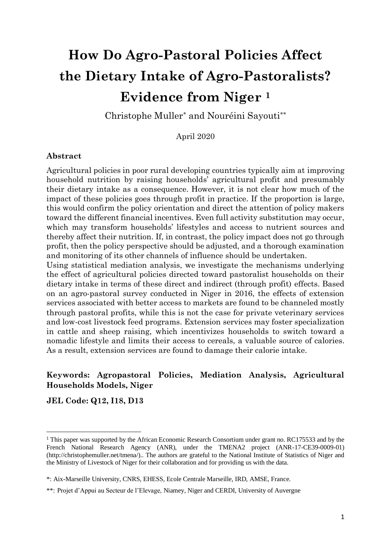# **How Do Agro-Pastoral Policies Affect the Dietary Intake of Agro-Pastoralists? Evidence from Niger <sup>1</sup>**

Christophe Muller\* and Nouréini Sayouti\*\*

April 2020

### **Abstract**

Agricultural policies in poor rural developing countries typically aim at improving household nutrition by raising households' agricultural profit and presumably their dietary intake as a consequence. However, it is not clear how much of the impact of these policies goes through profit in practice. If the proportion is large, this would confirm the policy orientation and direct the attention of policy makers toward the different financial incentives. Even full activity substitution may occur, which may transform households' lifestyles and access to nutrient sources and thereby affect their nutrition. If, in contrast, the policy impact does not go through profit, then the policy perspective should be adjusted, and a thorough examination and monitoring of its other channels of influence should be undertaken.

Using statistical mediation analysis, we investigate the mechanisms underlying the effect of agricultural policies directed toward pastoralist households on their dietary intake in terms of these direct and indirect (through profit) effects. Based on an agro-pastoral survey conducted in Niger in 2016, the effects of extension services associated with better access to markets are found to be channeled mostly through pastoral profits, while this is not the case for private veterinary services and low-cost livestock feed programs. Extension services may foster specialization in cattle and sheep raising, which incentivizes households to switch toward a nomadic lifestyle and limits their access to cereals, a valuable source of calories. As a result, extension services are found to damage their calorie intake.

### **Keywords: Agropastoral Policies, Mediation Analysis, Agricultural Households Models, Niger**

**JEL Code: Q12, I18, D13**

<sup>1</sup> This paper was supported by the African Economic Research Consortium under grant no. RC175533 and by the French National Research Agency (ANR), under the TMENA2 project (ANR-17-CE39-0009-01) (http://christophemuller.net/tmena/).. The authors are grateful to the National Institute of Statistics of Niger and the Ministry of Livestock of Niger for their collaboration and for providing us with the data.

<sup>\*:</sup> Aix-Marseille University, CNRS, EHESS, Ecole Centrale Marseille, IRD, AMSE, France.

<sup>\*\*:</sup> Projet d'Appui au Secteur de l'Elevage, Niamey, Niger and CERDI, University of Auvergne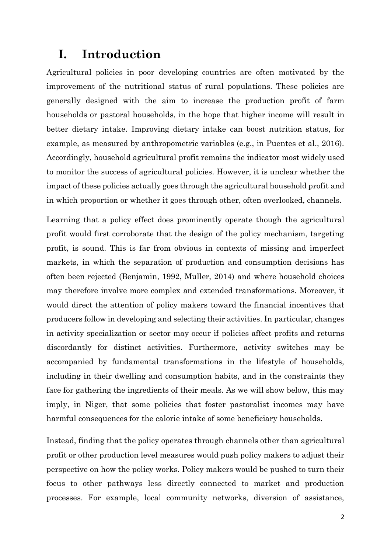## **I. Introduction**

Agricultural policies in poor developing countries are often motivated by the improvement of the nutritional status of rural populations. These policies are generally designed with the aim to increase the production profit of farm households or pastoral households, in the hope that higher income will result in better dietary intake. Improving dietary intake can boost nutrition status, for example, as measured by anthropometric variables (e.g., in Puentes et al., 2016). Accordingly, household agricultural profit remains the indicator most widely used to monitor the success of agricultural policies. However, it is unclear whether the impact of these policies actually goes through the agricultural household profit and in which proportion or whether it goes through other, often overlooked, channels.

Learning that a policy effect does prominently operate though the agricultural profit would first corroborate that the design of the policy mechanism, targeting profit, is sound. This is far from obvious in contexts of missing and imperfect markets, in which the separation of production and consumption decisions has often been rejected (Benjamin, 1992, Muller, 2014) and where household choices may therefore involve more complex and extended transformations. Moreover, it would direct the attention of policy makers toward the financial incentives that producers follow in developing and selecting their activities. In particular, changes in activity specialization or sector may occur if policies affect profits and returns discordantly for distinct activities. Furthermore, activity switches may be accompanied by fundamental transformations in the lifestyle of households, including in their dwelling and consumption habits, and in the constraints they face for gathering the ingredients of their meals. As we will show below, this may imply, in Niger, that some policies that foster pastoralist incomes may have harmful consequences for the calorie intake of some beneficiary households.

Instead, finding that the policy operates through channels other than agricultural profit or other production level measures would push policy makers to adjust their perspective on how the policy works. Policy makers would be pushed to turn their focus to other pathways less directly connected to market and production processes. For example, local community networks, diversion of assistance,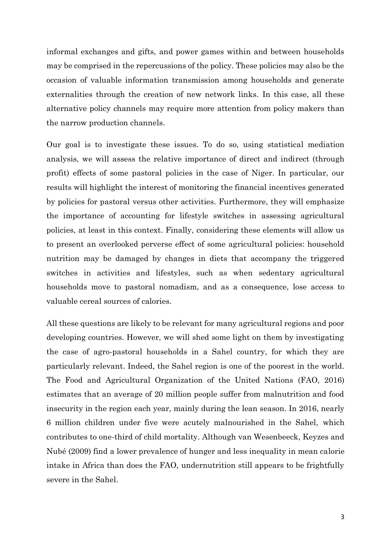informal exchanges and gifts, and power games within and between households may be comprised in the repercussions of the policy. These policies may also be the occasion of valuable information transmission among households and generate externalities through the creation of new network links. In this case, all these alternative policy channels may require more attention from policy makers than the narrow production channels.

Our goal is to investigate these issues. To do so, using statistical mediation analysis, we will assess the relative importance of direct and indirect (through profit) effects of some pastoral policies in the case of Niger. In particular, our results will highlight the interest of monitoring the financial incentives generated by policies for pastoral versus other activities. Furthermore, they will emphasize the importance of accounting for lifestyle switches in assessing agricultural policies, at least in this context. Finally, considering these elements will allow us to present an overlooked perverse effect of some agricultural policies: household nutrition may be damaged by changes in diets that accompany the triggered switches in activities and lifestyles, such as when sedentary agricultural households move to pastoral nomadism, and as a consequence, lose access to valuable cereal sources of calories.

All these questions are likely to be relevant for many agricultural regions and poor developing countries. However, we will shed some light on them by investigating the case of agro-pastoral households in a Sahel country, for which they are particularly relevant. Indeed, the Sahel region is one of the poorest in the world. The Food and Agricultural Organization of the United Nations (FAO, 2016) estimates that an average of 20 million people suffer from malnutrition and food insecurity in the region each year, mainly during the lean season. In 2016, nearly 6 million children under five were acutely malnourished in the Sahel, which contributes to one-third of child mortality. Although van Wesenbeeck, Keyzes and Nubé (2009) find a lower prevalence of hunger and less inequality in mean calorie intake in Africa than does the FAO, undernutrition still appears to be frightfully severe in the Sahel.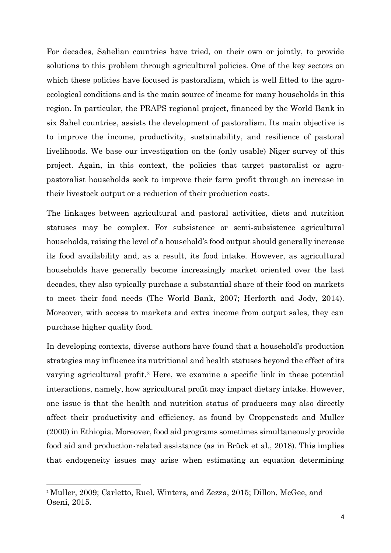For decades, Sahelian countries have tried, on their own or jointly, to provide solutions to this problem through agricultural policies. One of the key sectors on which these policies have focused is pastoralism, which is well fitted to the agroecological conditions and is the main source of income for many households in this region. In particular, the PRAPS regional project, financed by the World Bank in six Sahel countries, assists the development of pastoralism. Its main objective is to improve the income, productivity, sustainability, and resilience of pastoral livelihoods. We base our investigation on the (only usable) Niger survey of this project. Again, in this context, the policies that target pastoralist or agropastoralist households seek to improve their farm profit through an increase in their livestock output or a reduction of their production costs.

The linkages between agricultural and pastoral activities, diets and nutrition statuses may be complex. For subsistence or semi-subsistence agricultural households, raising the level of a household's food output should generally increase its food availability and, as a result, its food intake. However, as agricultural households have generally become increasingly market oriented over the last decades, they also typically purchase a substantial share of their food on markets to meet their food needs (The World Bank, 2007; Herforth and Jody, 2014). Moreover, with access to markets and extra income from output sales, they can purchase higher quality food.

In developing contexts, diverse authors have found that a household's production strategies may influence its nutritional and health statuses beyond the effect of its varying agricultural profit.<sup>2</sup> Here, we examine a specific link in these potential interactions, namely, how agricultural profit may impact dietary intake. However, one issue is that the health and nutrition status of producers may also directly affect their productivity and efficiency, as found by Croppenstedt and Muller (2000) in Ethiopia. Moreover, food aid programs sometimes simultaneously provide food aid and production-related assistance (as in Brück et al., 2018). This implies that endogeneity issues may arise when estimating an equation determining

<sup>2</sup> Muller, 2009; Carletto, Ruel, Winters, and Zezza, 2015; Dillon, McGee, and Oseni, 2015.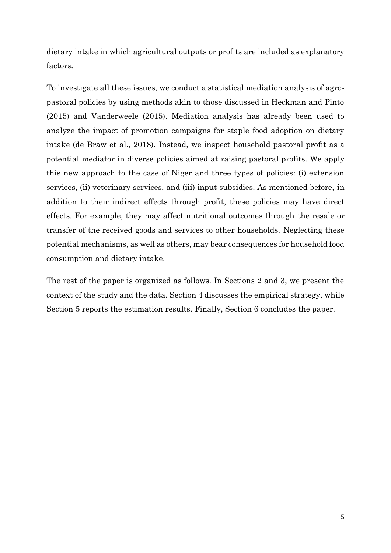dietary intake in which agricultural outputs or profits are included as explanatory factors.

To investigate all these issues, we conduct a statistical mediation analysis of agropastoral policies by using methods akin to those discussed in Heckman and Pinto (2015) and Vanderweele (2015). Mediation analysis has already been used to analyze the impact of promotion campaigns for staple food adoption on dietary intake (de Braw et al., 2018). Instead, we inspect household pastoral profit as a potential mediator in diverse policies aimed at raising pastoral profits. We apply this new approach to the case of Niger and three types of policies: (i) extension services, (ii) veterinary services, and (iii) input subsidies. As mentioned before, in addition to their indirect effects through profit, these policies may have direct effects. For example, they may affect nutritional outcomes through the resale or transfer of the received goods and services to other households. Neglecting these potential mechanisms, as well as others, may bear consequences for household food consumption and dietary intake.

The rest of the paper is organized as follows. In Sections 2 and 3, we present the context of the study and the data. Section 4 discusses the empirical strategy, while Section 5 reports the estimation results. Finally, Section 6 concludes the paper.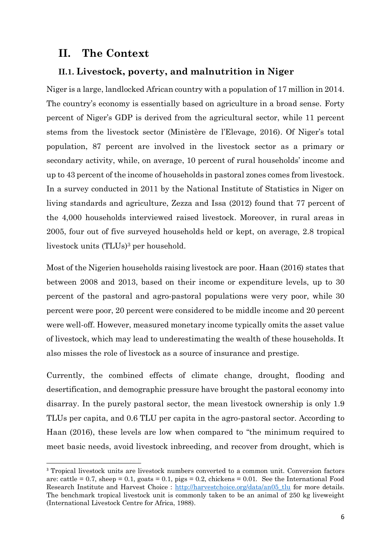### **II. The Context**

### **II.1. Livestock, poverty, and malnutrition in Niger**

Niger is a large, landlocked African country with a population of 17 million in 2014. The country's economy is essentially based on agriculture in a broad sense. Forty percent of Niger's GDP is derived from the agricultural sector, while 11 percent stems from the livestock sector (Ministère de l'Elevage, 2016). Of Niger's total population, 87 percent are involved in the livestock sector as a primary or secondary activity, while, on average, 10 percent of rural households' income and up to 43 percent of the income of households in pastoral zones comes from livestock. In a survey conducted in 2011 by the National Institute of Statistics in Niger on living standards and agriculture, Zezza and Issa (2012) found that 77 percent of the 4,000 households interviewed raised livestock. Moreover, in rural areas in 2005, four out of five surveyed households held or kept, on average, 2.8 tropical livestock units (TLUs)<sup>3</sup> per household.

Most of the Nigerien households raising livestock are poor. Haan (2016) states that between 2008 and 2013, based on their income or expenditure levels, up to 30 percent of the pastoral and agro-pastoral populations were very poor, while 30 percent were poor, 20 percent were considered to be middle income and 20 percent were well-off. However, measured monetary income typically omits the asset value of livestock, which may lead to underestimating the wealth of these households. It also misses the role of livestock as a source of insurance and prestige.

Currently, the combined effects of climate change, drought, flooding and desertification, and demographic pressure have brought the pastoral economy into disarray. In the purely pastoral sector, the mean livestock ownership is only 1.9 TLUs per capita, and 0.6 TLU per capita in the agro-pastoral sector. According to Haan (2016), these levels are low when compared to "the minimum required to meet basic needs, avoid livestock inbreeding, and recover from drought, which is

<sup>&</sup>lt;sup>3</sup> Tropical livestock units are livestock numbers converted to a common unit. Conversion factors are: cattle = 0.7, sheep = 0.1, goats = 0.1, pigs = 0.2, chickens = 0.01. See the International Food Research Institute and Harvest Choice : http://harvestchoice.org/data/an05 tlu for more details. The benchmark tropical livestock unit is commonly taken to be an animal of 250 kg liveweight (International Livestock Centre for Africa, 1988).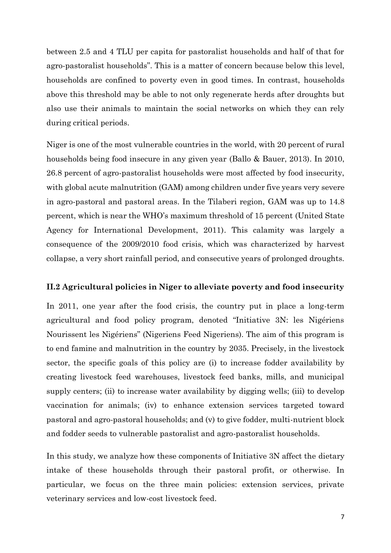between 2.5 and 4 TLU per capita for pastoralist households and half of that for agro-pastoralist households". This is a matter of concern because below this level, households are confined to poverty even in good times. In contrast, households above this threshold may be able to not only regenerate herds after droughts but also use their animals to maintain the social networks on which they can rely during critical periods.

Niger is one of the most vulnerable countries in the world, with 20 percent of rural households being food insecure in any given year (Ballo & Bauer, 2013). In 2010, 26.8 percent of agro-pastoralist households were most affected by food insecurity, with global acute malnutrition (GAM) among children under five years very severe in agro-pastoral and pastoral areas. In the Tilaberi region, GAM was up to 14.8 percent, which is near the WHO's maximum threshold of 15 percent (United State Agency for International Development, 2011). This calamity was largely a consequence of the 2009/2010 food crisis, which was characterized by harvest collapse, a very short rainfall period, and consecutive years of prolonged droughts.

#### **II.2 Agricultural policies in Niger to alleviate poverty and food insecurity**

In 2011, one year after the food crisis, the country put in place a long-term agricultural and food policy program, denoted "Initiative 3N: les Nigériens Nourissent les Nigériens" (Nigeriens Feed Nigeriens). The aim of this program is to end famine and malnutrition in the country by 2035. Precisely, in the livestock sector, the specific goals of this policy are (i) to increase fodder availability by creating livestock feed warehouses, livestock feed banks, mills, and municipal supply centers; (ii) to increase water availability by digging wells; (iii) to develop vaccination for animals; (iv) to enhance extension services targeted toward pastoral and agro-pastoral households; and (v) to give fodder, multi-nutrient block and fodder seeds to vulnerable pastoralist and agro-pastoralist households.

In this study, we analyze how these components of Initiative 3N affect the dietary intake of these households through their pastoral profit, or otherwise. In particular, we focus on the three main policies: extension services, private veterinary services and low-cost livestock feed.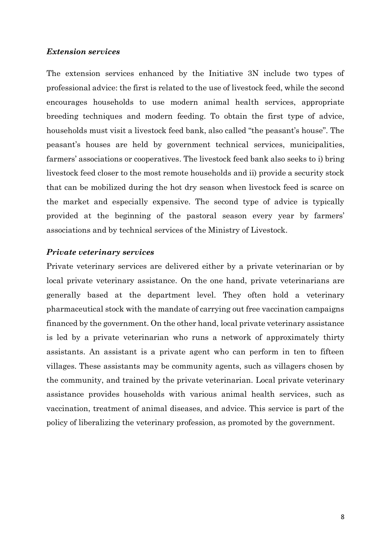### *Extension services*

The extension services enhanced by the Initiative 3N include two types of professional advice: the first is related to the use of livestock feed, while the second encourages households to use modern animal health services, appropriate breeding techniques and modern feeding. To obtain the first type of advice, households must visit a livestock feed bank, also called "the peasant's house". The peasant's houses are held by government technical services, municipalities, farmers' associations or cooperatives. The livestock feed bank also seeks to i) bring livestock feed closer to the most remote households and ii) provide a security stock that can be mobilized during the hot dry season when livestock feed is scarce on the market and especially expensive. The second type of advice is typically provided at the beginning of the pastoral season every year by farmers' associations and by technical services of the Ministry of Livestock.

### *Private veterinary services*

Private veterinary services are delivered either by a private veterinarian or by local private veterinary assistance. On the one hand, private veterinarians are generally based at the department level. They often hold a veterinary pharmaceutical stock with the mandate of carrying out free vaccination campaigns financed by the government. On the other hand, local private veterinary assistance is led by a private veterinarian who runs a network of approximately thirty assistants. An assistant is a private agent who can perform in ten to fifteen villages. These assistants may be community agents, such as villagers chosen by the community, and trained by the private veterinarian. Local private veterinary assistance provides households with various animal health services, such as vaccination, treatment of animal diseases, and advice. This service is part of the policy of liberalizing the veterinary profession, as promoted by the government.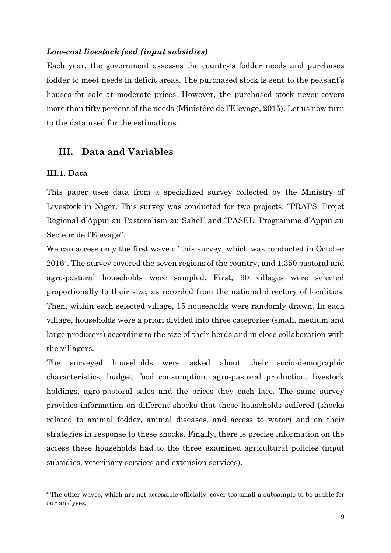#### *Low-cost livestock feed (input subsidies)*

Each year, the government assesses the country's fodder needs and purchases fodder to meet needs in deficit areas. The purchased stock is sent to the peasant's houses for sale at moderate prices. However, the purchased stock never covers more than fifty percent of the needs (Ministère de l'Elevage, 2015). Let us now turn to the data used for the estimations.

### **III. Data and Variables**

### **III.1. Data**

This paper uses data from a specialized survey collected by the Ministry of Livestock in Niger. This survey was conducted for two projects: "PRAPS: Projet Régional d'Appui au Pastoralism au Sahel" and "PASEL: Programme d'Appui au Secteur de l'Elevage".

We can access only the first wave of this survey, which was conducted in October 20164. The survey covered the seven regions of the country, and 1,350 pastoral and agro-pastoral households were sampled. First, 90 villages were selected proportionally to their size, as recorded from the national directory of localities. Then, within each selected village, 15 households were randomly drawn. In each village, households were a priori divided into three categories (small, medium and large producers) according to the size of their herds and in close collaboration with the villagers.

The surveyed households were asked about their socio-demographic characteristics, budget, food consumption, agro-pastoral production, livestock holdings, agro-pastoral sales and the prices they each face. The same survey provides information on different shocks that these households suffered (shocks related to animal fodder, animal diseases, and access to water) and on their strategies in response to these shocks. Finally, there is precise information on the access these households had to the three examined agricultural policies (input subsidies, veterinary services and extension services).

<sup>4</sup> The other waves, which are not accessible officially, cover too small a subsample to be usable for our analyses.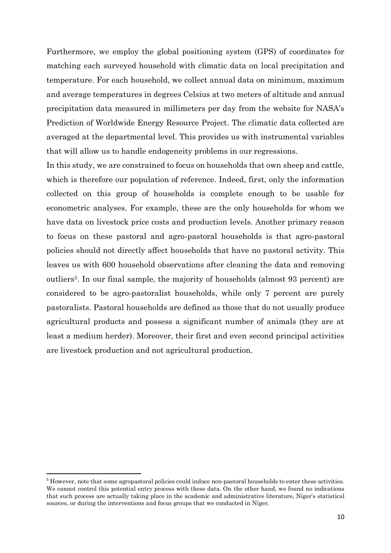Furthermore, we employ the global positioning system (GPS) of coordinates for matching each surveyed household with climatic data on local precipitation and temperature. For each household, we collect annual data on minimum, maximum and average temperatures in degrees Celsius at two meters of altitude and annual precipitation data measured in millimeters per day from the website for NASA's Prediction of Worldwide Energy Resource Project. The climatic data collected are averaged at the departmental level. This provides us with instrumental variables that will allow us to handle endogeneity problems in our regressions.

In this study, we are constrained to focus on households that own sheep and cattle, which is therefore our population of reference. Indeed, first, only the information collected on this group of households is complete enough to be usable for econometric analyses. For example, these are the only households for whom we have data on livestock price costs and production levels. Another primary reason to focus on these pastoral and agro-pastoral households is that agro-pastoral policies should not directly affect households that have no pastoral activity. This leaves us with 600 household observations after cleaning the data and removing outliers5. In our final sample, the majority of households (almost 93 percent) are considered to be agro-pastoralist households, while only 7 percent are purely pastoralists. Pastoral households are defined as those that do not usually produce agricultural products and possess a significant number of animals (they are at least a medium herder). Moreover, their first and even second principal activities are livestock production and not agricultural production.

<sup>&</sup>lt;sup>5</sup> However, note that some agropastoral policies could induce non-pastoral households to enter these activities. We cannot control this potential entry process with these data. On the other hand, we found no indications that such process are actually taking place in the academic and administrative literature, Niger's statistical sources, or during the interventions and focus groups that we conducted in Niger.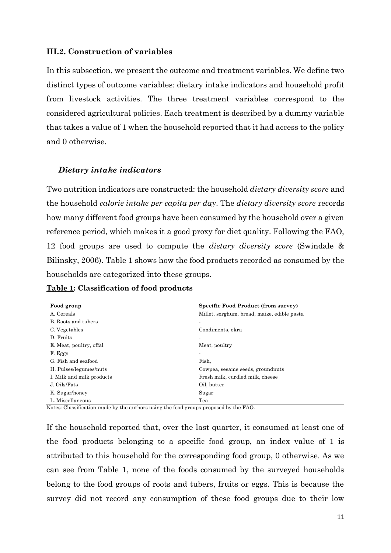### **III.2. Construction of variables**

In this subsection, we present the outcome and treatment variables. We define two distinct types of outcome variables: dietary intake indicators and household profit from livestock activities. The three treatment variables correspond to the considered agricultural policies. Each treatment is described by a dummy variable that takes a value of 1 when the household reported that it had access to the policy and 0 otherwise.

### *Dietary intake indicators*

Two nutrition indicators are constructed: the household *dietary diversity score* and the household *calorie intake per capita per day*. The *dietary diversity score* records how many different food groups have been consumed by the household over a given reference period, which makes it a good proxy for diet quality. Following the FAO, 12 food groups are used to compute the *dietary diversity score* (Swindale & Bilinsky, 2006). Table 1 shows how the food products recorded as consumed by the households are categorized into these groups.

| <b>Table 1: Classification of food products</b> |  |  |
|-------------------------------------------------|--|--|
|-------------------------------------------------|--|--|

| Food group                | <b>Specific Food Product (from survey)</b>  |
|---------------------------|---------------------------------------------|
| A. Cereals                | Millet, sorghum, bread, maize, edible pasta |
| B. Roots and tubers       |                                             |
| C. Vegetables             | Condiments, okra                            |
| D. Fruits                 |                                             |
| E. Meat, poultry, offal   | Meat, poultry                               |
| F. Eggs                   | $\overline{\phantom{a}}$                    |
| G. Fish and seafood       | Fish,                                       |
| H. Pulses/legumes/nuts    | Cowpea, sesame seeds, groundnuts            |
| I. Milk and milk products | Fresh milk, curdled milk, cheese            |
| J. Oils/Fats              | Oil, butter                                 |
| K. Sugar/honey            | Sugar                                       |
| L. Miscellaneous          | Tea                                         |

Notes: Classification made by the authors using the food groups proposed by the FAO.

If the household reported that, over the last quarter, it consumed at least one of the food products belonging to a specific food group, an index value of 1 is attributed to this household for the corresponding food group, 0 otherwise. As we can see from Table 1, none of the foods consumed by the surveyed households belong to the food groups of roots and tubers, fruits or eggs. This is because the survey did not record any consumption of these food groups due to their low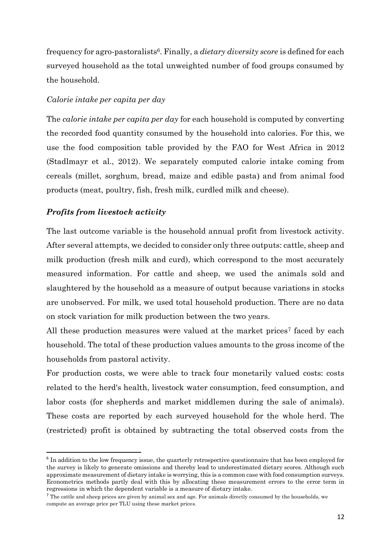frequency for agro-pastoralists6. Finally, a *dietary diversity score* is defined for each surveyed household as the total unweighted number of food groups consumed by the household.

### *Calorie intake per capita per day*

The *calorie intake per capita per day* for each household is computed by converting the recorded food quantity consumed by the household into calories. For this, we use the food composition table provided by the FAO for West Africa in 2012 (Stadlmayr et al., 2012). We separately computed calorie intake coming from cereals (millet, sorghum, bread, maize and edible pasta) and from animal food products (meat, poultry, fish, fresh milk, curdled milk and cheese).

### *Profits from livestock activity*

The last outcome variable is the household annual profit from livestock activity. After several attempts, we decided to consider only three outputs: cattle, sheep and milk production (fresh milk and curd), which correspond to the most accurately measured information. For cattle and sheep, we used the animals sold and slaughtered by the household as a measure of output because variations in stocks are unobserved. For milk, we used total household production. There are no data on stock variation for milk production between the two years.

All these production measures were valued at the market prices<sup>7</sup> faced by each household. The total of these production values amounts to the gross income of the households from pastoral activity.

For production costs, we were able to track four monetarily valued costs: costs related to the herd's health, livestock water consumption, feed consumption, and labor costs (for shepherds and market middlemen during the sale of animals). These costs are reported by each surveyed household for the whole herd. The (restricted) profit is obtained by subtracting the total observed costs from the

<sup>&</sup>lt;sup>6</sup> In addition to the low frequency issue, the quarterly retrospective questionnaire that has been employed for the survey is likely to generate omissions and thereby lead to underestimated dietary scores. Although such approximate measurement of dietary intake is worrying, this is a common case with food consumption surveys. Econometrics methods partly deal with this by allocating these measurement errors to the error term in regressions in which the dependent variable is a measure of dietary intake.

 $<sup>7</sup>$  The cattle and sheep prices are given by animal sex and age. For animals directly consumed by the households, we</sup> compute an average price per TLU using these market prices.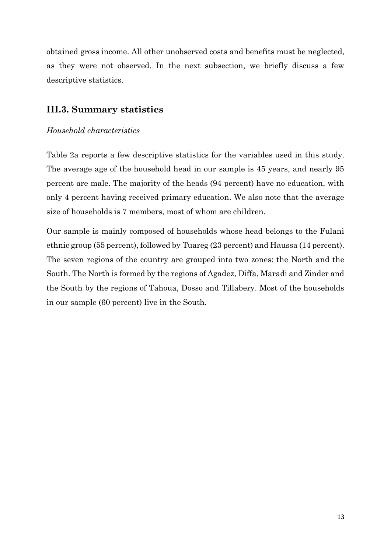obtained gross income. All other unobserved costs and benefits must be neglected, as they were not observed. In the next subsection, we briefly discuss a few descriptive statistics.

### **III.3. Summary statistics**

### *Household characteristics*

Table 2a reports a few descriptive statistics for the variables used in this study. The average age of the household head in our sample is 45 years, and nearly 95 percent are male. The majority of the heads (94 percent) have no education, with only 4 percent having received primary education. We also note that the average size of households is 7 members, most of whom are children.

Our sample is mainly composed of households whose head belongs to the Fulani ethnic group (55 percent), followed by Tuareg (23 percent) and Haussa (14 percent). The seven regions of the country are grouped into two zones: the North and the South. The North is formed by the regions of Agadez, Diffa, Maradi and Zinder and the South by the regions of Tahoua, Dosso and Tillabery. Most of the households in our sample (60 percent) live in the South.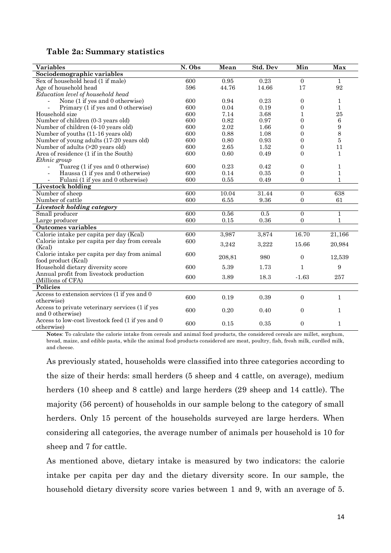|  |  | Table 2a: Summary statistics |
|--|--|------------------------------|
|--|--|------------------------------|

| <b>Variables</b>                                    | N. Obs | Mean   | Std. Dev | Min              | Max              |
|-----------------------------------------------------|--------|--------|----------|------------------|------------------|
| Sociodemographic variables                          |        |        |          |                  |                  |
| Sex of household head (1 if male)                   | 600    | 0.95   | 0.23     | $\Omega$         | $\mathbf{1}$     |
| Age of household head                               | 596    | 44.76  | 14.66    | 17               | 92               |
| Education level of household head                   |        |        |          |                  |                  |
| None (1 if yes and 0 otherwise)                     | 600    | 0.94   | 0.23     | $\overline{0}$   | 1                |
| Primary (1 if yes and 0 otherwise)                  | 600    | 0.04   | 0.19     | $\boldsymbol{0}$ | $\mathbf{1}$     |
| Household size                                      | 600    | 7.14   | 3.68     | $\mathbf{1}$     | 25               |
| Number of children (0-3 years old)                  | 600    | 0.82   | 0.97     | $\overline{0}$   | 6                |
| Number of children (4-10 years old)                 | 600    | 2.02   | 1.66     | $\overline{0}$   | $\boldsymbol{9}$ |
| Number of youths (11-16 years old)                  | 600    | 0.88   | 1.08     | $\overline{0}$   | 8                |
| Number of young adults (17-20 years old)            | 600    | 0.80   | 0.93     | $\overline{0}$   | 5                |
| Number of adults (>20 years old)                    | 600    | 2.65   | 1.52     | $\boldsymbol{0}$ | 11               |
| Area of residence (1 if in the South)               | 600    | 0.60   | 0.49     | $\boldsymbol{0}$ | $\mathbf{1}$     |
| Ethnic group                                        |        |        |          |                  |                  |
| Tuareg (1 if yes and 0 otherwise)<br>$\overline{a}$ | 600    | 0.23   | 0.42     | $\boldsymbol{0}$ | 1                |
| Haussa (1 if yes and 0 otherwise)                   | 600    | 0.14   | 0.35     | $\overline{0}$   | $\mathbf{1}$     |
| Fulani (1 if yes and 0 otherwise)                   | 600    | 0.55   | 0.49     | $\overline{0}$   | 1                |
| Livestock holding                                   |        |        |          |                  |                  |
| Number of sheep                                     | 600    | 10.04  | 31.44    | $\boldsymbol{0}$ | 638              |
| Number of cattle                                    | 600    | 6.55   | 9.36     | $\overline{0}$   | 61               |
| <b>Livestock holding category</b>                   |        |        |          |                  |                  |
| Small producer                                      | 600    | 0.56   | 0.5      | $\overline{0}$   | $\mathbf{1}$     |
| Large producer                                      | 600    | 0.15   | 0.36     | $\overline{0}$   | $\mathbf{1}$     |
| <b>Outcomes variables</b>                           |        |        |          |                  |                  |
| Calorie intake per capita per day (Kcal)            | 600    | 3,987  | 3,874    | 16.70            | 21,166           |
| Calorie intake per capita per day from cereals      | 600    | 3,242  | 3,222    | 15.66            | 20,984           |
| (Kcal)                                              |        |        |          |                  |                  |
| Calorie intake per capita per day from animal       | 600    | 208,81 | 980      | $\mathbf{0}$     | 12,539           |
| food product (Keal)                                 |        |        |          |                  |                  |
| Household dietary diversity score                   | 600    | 5.39   | 1.73     | $\mathbf{1}$     | 9                |
| Annual profit from livestock production             | 600    | 3.89   | 18.3     | $-1.63$          | 257              |
| (Millions of CFA)                                   |        |        |          |                  |                  |
| <b>Policies</b>                                     |        |        |          |                  |                  |
| Access to extension services (1 if yes and 0        | 600    | 0.19   | 0.39     | $\overline{0}$   | $\mathbf{1}$     |
| otherwise)                                          |        |        |          |                  |                  |
| Access to private veterinary services (1 if yes     | 600    | 0.20   | 0.40     | $\overline{0}$   | $\mathbf{1}$     |
| and 0 otherwise)                                    |        |        |          |                  |                  |
| Access to low-cost livestock feed (1 if yes and 0)  | 600    | 0.15   | 0.35     | $\overline{0}$   | $\mathbf{1}$     |
| otherwise)                                          |        |        |          |                  |                  |

**Notes**: To calculate the calorie intake from cereals and animal food products, the considered cereals are millet, sorghum, bread, maize, and edible pasta, while the animal food products considered are meat, poultry, fish, fresh milk, curdled milk, and cheese.

As previously stated, households were classified into three categories according to the size of their herds: small herders (5 sheep and 4 cattle, on average), medium herders (10 sheep and 8 cattle) and large herders (29 sheep and 14 cattle). The majority (56 percent) of households in our sample belong to the category of small herders. Only 15 percent of the households surveyed are large herders. When considering all categories, the average number of animals per household is 10 for sheep and 7 for cattle.

As mentioned above, dietary intake is measured by two indicators: the calorie intake per capita per day and the dietary diversity score. In our sample, the household dietary diversity score varies between 1 and 9, with an average of 5.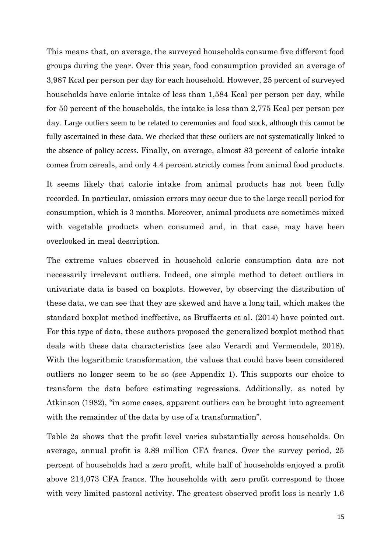This means that, on average, the surveyed households consume five different food groups during the year. Over this year, food consumption provided an average of 3,987 Kcal per person per day for each household. However, 25 percent of surveyed households have calorie intake of less than 1,584 Kcal per person per day, while for 50 percent of the households, the intake is less than 2,775 Kcal per person per day. Large outliers seem to be related to ceremonies and food stock, although this cannot be fully ascertained in these data. We checked that these outliers are not systematically linked to the absence of policy access. Finally, on average, almost 83 percent of calorie intake comes from cereals, and only 4.4 percent strictly comes from animal food products.

It seems likely that calorie intake from animal products has not been fully recorded. In particular, omission errors may occur due to the large recall period for consumption, which is 3 months. Moreover, animal products are sometimes mixed with vegetable products when consumed and, in that case, may have been overlooked in meal description.

The extreme values observed in household calorie consumption data are not necessarily irrelevant outliers. Indeed, one simple method to detect outliers in univariate data is based on boxplots. However, by observing the distribution of these data, we can see that they are skewed and have a long tail, which makes the standard boxplot method ineffective, as Bruffaerts et al. (2014) have pointed out. For this type of data, these authors proposed the generalized boxplot method that deals with these data characteristics (see also Verardi and Vermendele, 2018). With the logarithmic transformation, the values that could have been considered outliers no longer seem to be so (see Appendix 1). This supports our choice to transform the data before estimating regressions. Additionally, as noted by Atkinson (1982), "in some cases, apparent outliers can be brought into agreement with the remainder of the data by use of a transformation".

Table 2a shows that the profit level varies substantially across households. On average, annual profit is 3.89 million CFA francs. Over the survey period, 25 percent of households had a zero profit, while half of households enjoyed a profit above 214,073 CFA francs. The households with zero profit correspond to those with very limited pastoral activity. The greatest observed profit loss is nearly 1.6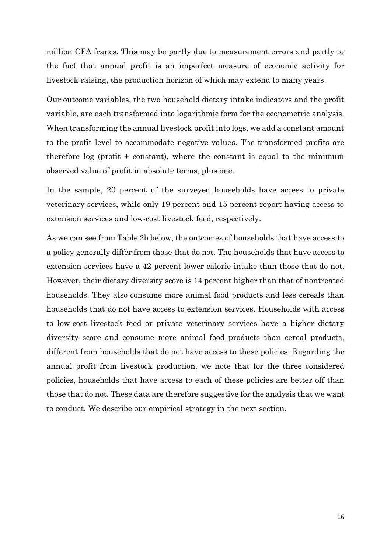million CFA francs. This may be partly due to measurement errors and partly to the fact that annual profit is an imperfect measure of economic activity for livestock raising, the production horizon of which may extend to many years.

Our outcome variables, the two household dietary intake indicators and the profit variable, are each transformed into logarithmic form for the econometric analysis. When transforming the annual livestock profit into logs, we add a constant amount to the profit level to accommodate negative values. The transformed profits are therefore  $\log$  (profit + constant), where the constant is equal to the minimum observed value of profit in absolute terms, plus one.

In the sample, 20 percent of the surveyed households have access to private veterinary services, while only 19 percent and 15 percent report having access to extension services and low-cost livestock feed, respectively.

As we can see from Table 2b below, the outcomes of households that have access to a policy generally differ from those that do not. The households that have access to extension services have a 42 percent lower calorie intake than those that do not. However, their dietary diversity score is 14 percent higher than that of nontreated households. They also consume more animal food products and less cereals than households that do not have access to extension services. Households with access to low-cost livestock feed or private veterinary services have a higher dietary diversity score and consume more animal food products than cereal products, different from households that do not have access to these policies. Regarding the annual profit from livestock production, we note that for the three considered policies, households that have access to each of these policies are better off than those that do not. These data are therefore suggestive for the analysis that we want to conduct. We describe our empirical strategy in the next section.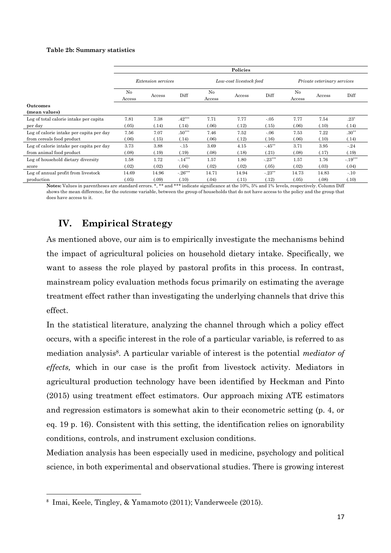#### **Table 2b: Summary statistics**

|                                          | Policies                 |                           |           |              |                         |           |                             |        |           |
|------------------------------------------|--------------------------|---------------------------|-----------|--------------|-------------------------|-----------|-----------------------------|--------|-----------|
|                                          |                          | <i>Extension services</i> |           |              | Low-cost livestock feed |           | Private veterinary services |        |           |
|                                          | N <sub>0</sub><br>Access | Access                    | Diff      | No<br>Access | Access                  | Diff      | No<br>Access                | Access | Diff      |
| <b>Outcomes</b>                          |                          |                           |           |              |                         |           |                             |        |           |
| (mean values)                            |                          |                           |           |              |                         |           |                             |        |           |
| Log of total calorie intake per capita   | 7.81                     | 7.38                      | $.42***$  | 7.71         | 7.77                    | $-.05$    | 7.77                        | 7.54   | $.23^*$   |
| per day                                  | (.05)                    | (.14)                     | (.14)     | (.06)        | (.12)                   | (.15)     | (.06)                       | (.10)  | (.14)     |
| Log of calorie intake per capita per day | 7.56                     | 7.07                      | $.50***$  | 7.46         | 7.52                    | $-0.06$   | 7.53                        | 7.22   | $.30**$   |
| from cereals food product                | (.06)                    | (.15)                     | (.14)     | (.06)        | (.12)                   | (.16)     | (.06)                       | (.10)  | (.14)     |
| Log of calorie intake per capita per day | 3.73                     | 3.88                      | $-.15$    | 3.69         | 4.15                    | $-45**$   | 3.71                        | 3.95   | $-.24$    |
| from animal food product                 | (.08)                    | (.19)                     | (.19)     | (.08)        | (.18)                   | (.21)     | (.08)                       | (.17)  | (.19)     |
| Log of household dietary diversity       | 1.58                     | 1.72                      | $-.14***$ | 1.57         | 1.80                    | $-.23***$ | 1.57                        | 1.76   | $-.19***$ |
| score                                    | (.02)                    | (.02)                     | (.04)     | (.02)        | (.02)                   | (.05)     | (.02)                       | (.03)  | (.04)     |
| Log of annual profit from livestock      | 14.69                    | 14.96                     | $-26***$  | 14.71        | 14.94                   | $-.23***$ | 14.73                       | 14.83  | $-.10$    |
| production                               | (.05)                    | (.09)                     | (.10)     | (.04)        | (.11)                   | (.12)     | (.05)                       | (.08)  | (.10)     |

Notes: Values in parentheses are standard errors. \*, \*\* and \*\*\* indicate significance at the 10%, 5% and 1% levels, respectively. Column Diff shows the mean difference, for the outcome variable, between the group of households that do not have access to the policy and the group that does have access to it.

### **IV. Empirical Strategy**

As mentioned above, our aim is to empirically investigate the mechanisms behind the impact of agricultural policies on household dietary intake. Specifically, we want to assess the role played by pastoral profits in this process. In contrast, mainstream policy evaluation methods focus primarily on estimating the average treatment effect rather than investigating the underlying channels that drive this effect.

In the statistical literature, analyzing the channel through which a policy effect occurs, with a specific interest in the role of a particular variable, is referred to as mediation analysis8. A particular variable of interest is the potential *mediator of effects,* which in our case is the profit from livestock activity. Mediators in agricultural production technology have been identified by Heckman and Pinto (2015) using treatment effect estimators. Our approach mixing ATE estimators and regression estimators is somewhat akin to their econometric setting (p. 4, or eq. 19 p. 16). Consistent with this setting, the identification relies on ignorability conditions, controls, and instrument exclusion conditions.

Mediation analysis has been especially used in medicine, psychology and political science, in both experimental and observational studies. There is growing interest

<sup>8</sup> Imai, Keele, Tingley, & Yamamoto (2011); Vanderweele (2015).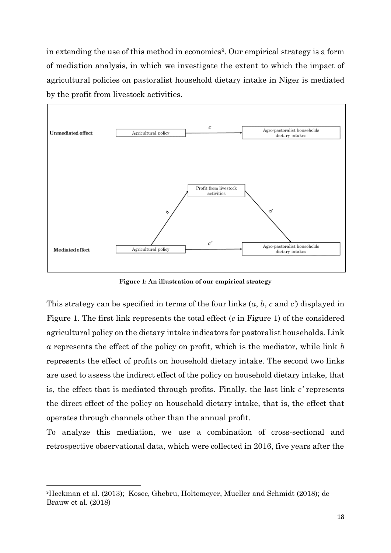in extending the use of this method in economics<sup>9</sup>. Our empirical strategy is a form of mediation analysis, in which we investigate the extent to which the impact of agricultural policies on pastoralist household dietary intake in Niger is mediated by the profit from livestock activities.



**Figure 1: An illustration of our empirical strategy**

This strategy can be specified in terms of the four links (*a*, *b*, *c* and *c'*) displayed in Figure 1. The first link represents the total effect (*c* in Figure 1) of the considered agricultural policy on the dietary intake indicators for pastoralist households. Link *a* represents the effect of the policy on profit, which is the mediator, while link *b*  represents the effect of profits on household dietary intake. The second two links are used to assess the indirect effect of the policy on household dietary intake, that is, the effect that is mediated through profits. Finally, the last link *c'* represents the direct effect of the policy on household dietary intake, that is, the effect that operates through channels other than the annual profit.

To analyze this mediation, we use a combination of cross-sectional and retrospective observational data, which were collected in 2016, five years after the

<sup>9</sup>Heckman et al. (2013); Kosec, Ghebru, Holtemeyer, Mueller and Schmidt (2018); de Brauw et al. (2018)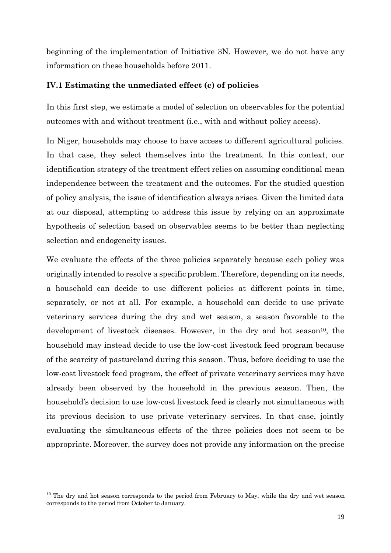beginning of the implementation of Initiative 3N. However, we do not have any information on these households before 2011.

### **IV.1 Estimating the unmediated effect (c) of policies**

In this first step, we estimate a model of selection on observables for the potential outcomes with and without treatment (i.e., with and without policy access).

In Niger, households may choose to have access to different agricultural policies. In that case, they select themselves into the treatment. In this context, our identification strategy of the treatment effect relies on assuming conditional mean independence between the treatment and the outcomes. For the studied question of policy analysis, the issue of identification always arises. Given the limited data at our disposal, attempting to address this issue by relying on an approximate hypothesis of selection based on observables seems to be better than neglecting selection and endogeneity issues.

We evaluate the effects of the three policies separately because each policy was originally intended to resolve a specific problem. Therefore, depending on its needs, a household can decide to use different policies at different points in time, separately, or not at all. For example, a household can decide to use private veterinary services during the dry and wet season, a season favorable to the development of livestock diseases. However, in the dry and hot season<sup>10</sup>, the household may instead decide to use the low-cost livestock feed program because of the scarcity of pastureland during this season. Thus, before deciding to use the low-cost livestock feed program, the effect of private veterinary services may have already been observed by the household in the previous season. Then, the household's decision to use low-cost livestock feed is clearly not simultaneous with its previous decision to use private veterinary services. In that case, jointly evaluating the simultaneous effects of the three policies does not seem to be appropriate. Moreover, the survey does not provide any information on the precise

<sup>&</sup>lt;sup>10</sup> The dry and hot season corresponds to the period from February to May, while the dry and wet season corresponds to the period from October to January.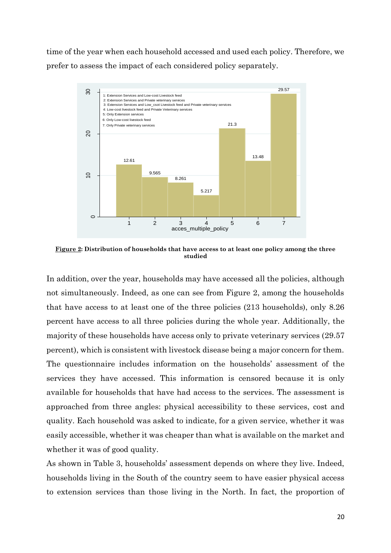time of the year when each household accessed and used each policy. Therefore, we prefer to assess the impact of each considered policy separately.



**Figure 2: Distribution of households that have access to at least one policy among the three studied**

In addition, over the year, households may have accessed all the policies, although not simultaneously. Indeed, as one can see from Figure 2, among the households that have access to at least one of the three policies (213 households), only 8.26 percent have access to all three policies during the whole year. Additionally, the majority of these households have access only to private veterinary services (29.57 percent), which is consistent with livestock disease being a major concern for them. The questionnaire includes information on the households' assessment of the services they have accessed. This information is censored because it is only available for households that have had access to the services. The assessment is approached from three angles: physical accessibility to these services, cost and quality. Each household was asked to indicate, for a given service, whether it was easily accessible, whether it was cheaper than what is available on the market and whether it was of good quality.

As shown in Table 3, households' assessment depends on where they live. Indeed, households living in the South of the country seem to have easier physical access to extension services than those living in the North. In fact, the proportion of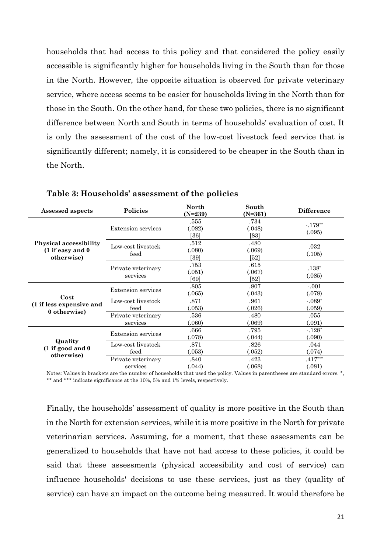households that had access to this policy and that considered the policy easily accessible is significantly higher for households living in the South than for those in the North. However, the opposite situation is observed for private veterinary service, where access seems to be easier for households living in the North than for those in the South. On the other hand, for these two policies, there is no significant difference between North and South in terms of households' evaluation of cost. It is only the assessment of the cost of the low-cost livestock feed service that is significantly different; namely, it is considered to be cheaper in the South than in the North.

| Assessed aspects                                                 | Policies                       | <b>North</b><br>$(N=239)$ | South<br>$(N=361)$     | <b>Difference</b>   |
|------------------------------------------------------------------|--------------------------------|---------------------------|------------------------|---------------------|
| <b>Physical accessibility</b><br>(1 if easy and 0)<br>otherwise) | Extension services             | .555<br>(.082)<br>[36]    | .734<br>(.048)<br>[83] | $-.179**$<br>(.095) |
|                                                                  | Low-cost livestock<br>feed     | .512<br>(.080)<br>[39]    | .480<br>(.069)<br>[52] | .032<br>(.105)      |
|                                                                  | Private veterinary<br>services | .753<br>(.051)<br>[69]    | .615<br>(.067)<br>[52] | $.138*$<br>(.085)   |
|                                                                  | Extension services             | .805<br>.065)             | .807<br>(.043)         | $-.001$<br>(.078)   |
| Cost<br>(1 if less expensive and<br>0 otherwise)                 | Low-cost livestock<br>feed     | .871<br>0.053             | .961<br>(.026)         | $-.089*$<br>(.059)  |
|                                                                  | Private veterinary<br>services | $.536\,$<br>060           | .480<br>(.069)         | .055<br>(.091)      |
| Quality<br>(1 if good and 0)<br>otherwise)                       | Extension services             | .666<br>(078)             | .795<br>(.044)         | $-.128*$<br>(.090)  |
|                                                                  | Low-cost livestock<br>feed     | .871<br>(.053)            | .826<br>(.052)         | .044<br>(.074)      |
|                                                                  | Private veterinary<br>services | .840<br>(.044)            | .423<br>(.068)         | $.417***$<br>(.081) |

**Table 3: Households' assessment of the policies** 

Notes: Values in brackets are the number of households that used the policy. Values in parentheses are standard errors. \*, \*\* and \*\*\* indicate significance at the 10%, 5% and 1% levels, respectively.

Finally, the households' assessment of quality is more positive in the South than in the North for extension services, while it is more positive in the North for private veterinarian services. Assuming, for a moment, that these assessments can be generalized to households that have not had access to these policies, it could be said that these assessments (physical accessibility and cost of service) can influence households' decisions to use these services, just as they (quality of service) can have an impact on the outcome being measured. It would therefore be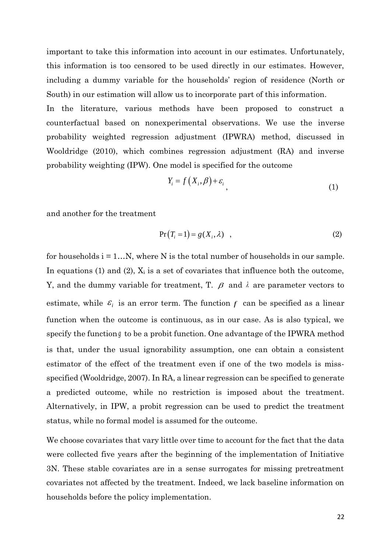important to take this information into account in our estimates. Unfortunately, this information is too censored to be used directly in our estimates. However, including a dummy variable for the households' region of residence (North or South) in our estimation will allow us to incorporate part of this information.

In the literature, various methods have been proposed to construct a counterfactual based on nonexperimental observations. We use the inverse probability weighted regression adjustment (IPWRA) method, discussed in Wooldridge (2010), which combines regression adjustment (RA) and inverse probability weighting (IPW). One model is specified for the outcome

$$
Y_i = f(X_i, \beta) + \varepsilon_i \tag{1}
$$

and another for the treatment

$$
Pr(T_i = 1) = g(X_i, \lambda) , \qquad (2)
$$

for households  $i = 1...N$ , where N is the total number of households in our sample. In equations (1) and (2),  $X_i$  is a set of covariates that influence both the outcome, Y, and the dummy variable for treatment, T.  $\beta$  and  $\lambda$  are parameter vectors to estimate, while  $\varepsilon_i$  is an error term. The function  $f$  can be specified as a linear function when the outcome is continuous, as in our case. As is also typical, we specify the function  $g$  to be a probit function. One advantage of the IPWRA method is that, under the usual ignorability assumption, one can obtain a consistent estimator of the effect of the treatment even if one of the two models is missspecified (Wooldridge, 2007). In RA, a linear regression can be specified to generate a predicted outcome, while no restriction is imposed about the treatment. Alternatively, in IPW, a probit regression can be used to predict the treatment status, while no formal model is assumed for the outcome.

We choose covariates that vary little over time to account for the fact that the data were collected five years after the beginning of the implementation of Initiative 3N. These stable covariates are in a sense surrogates for missing pretreatment covariates not affected by the treatment. Indeed, we lack baseline information on households before the policy implementation.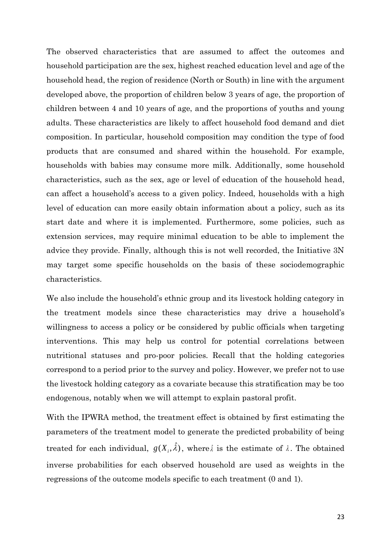The observed characteristics that are assumed to affect the outcomes and household participation are the sex, highest reached education level and age of the household head, the region of residence (North or South) in line with the argument developed above, the proportion of children below 3 years of age, the proportion of children between 4 and 10 years of age, and the proportions of youths and young adults. These characteristics are likely to affect household food demand and diet composition. In particular, household composition may condition the type of food products that are consumed and shared within the household. For example, households with babies may consume more milk. Additionally, some household characteristics, such as the sex, age or level of education of the household head, can affect a household's access to a given policy. Indeed, households with a high level of education can more easily obtain information about a policy, such as its start date and where it is implemented. Furthermore, some policies, such as extension services, may require minimal education to be able to implement the advice they provide. Finally, although this is not well recorded, the Initiative 3N may target some specific households on the basis of these sociodemographic characteristics.

We also include the household's ethnic group and its livestock holding category in the treatment models since these characteristics may drive a household's willingness to access a policy or be considered by public officials when targeting interventions. This may help us control for potential correlations between nutritional statuses and pro-poor policies. Recall that the holding categories correspond to a period prior to the survey and policy. However, we prefer not to use the livestock holding category as a covariate because this stratification may be too endogenous, notably when we will attempt to explain pastoral profit.

With the IPWRA method, the treatment effect is obtained by first estimating the parameters of the treatment model to generate the predicted probability of being treated for each individual,  $g(X_i, \hat{\lambda})$ , where  $\hat{\lambda}$  is the estimate of  $\lambda$ . The obtained inverse probabilities for each observed household are used as weights in the regressions of the outcome models specific to each treatment (0 and 1).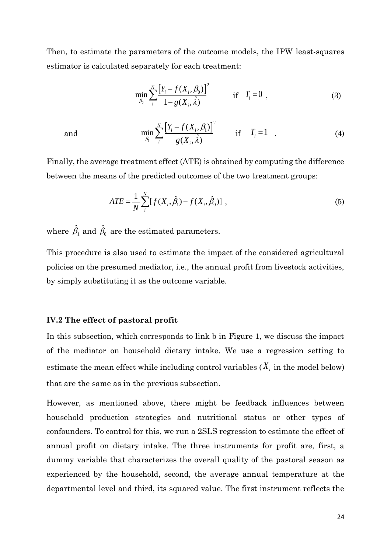Then, to estimate the parameters of the outcome models, the IPW least-squares estimator is calculated separately for each treatment:

$$
\min_{\beta_0} \sum_{i}^{N} \frac{\left[Y_i - f(X_i, \beta_0)\right]^2}{1 - g(X_i, \hat{\lambda})} \quad \text{if} \quad T_i = 0 \tag{3}
$$

and

$$
\min_{\beta_{i}} \sum_{i}^{N} \frac{\left[Y_{i} - f(X_{i}, \beta_{i})\right]^{2}}{g(X_{i}, \hat{\lambda})} \quad \text{if} \quad T_{i} = 1 \quad . \tag{4}
$$

Finally, the average treatment effect (ATE) is obtained by computing the difference between the means of the predicted outcomes of the two treatment groups:

$$
ATE = \frac{1}{N} \sum_{i}^{N} [f(X_i, \hat{\beta}_1) - f(X_i, \hat{\beta}_0)] ,
$$
 (5)

where  $\hat{\beta}_{\!\scriptscriptstyle 1}$  and  $\hat{\beta}_{\!\scriptscriptstyle 0}$  are the estimated parameters.

This procedure is also used to estimate the impact of the considered agricultural policies on the presumed mediator, i.e., the annual profit from livestock activities, by simply substituting it as the outcome variable.

#### **IV.2 The effect of pastoral profit**

In this subsection, which corresponds to link b in Figure 1, we discuss the impact of the mediator on household dietary intake. We use a regression setting to estimate the mean effect while including control variables  $(X_i)$  in the model below) that are the same as in the previous subsection.

However, as mentioned above, there might be feedback influences between household production strategies and nutritional status or other types of confounders. To control for this, we run a 2SLS regression to estimate the effect of annual profit on dietary intake. The three instruments for profit are, first, a dummy variable that characterizes the overall quality of the pastoral season as experienced by the household, second, the average annual temperature at the departmental level and third, its squared value. The first instrument reflects the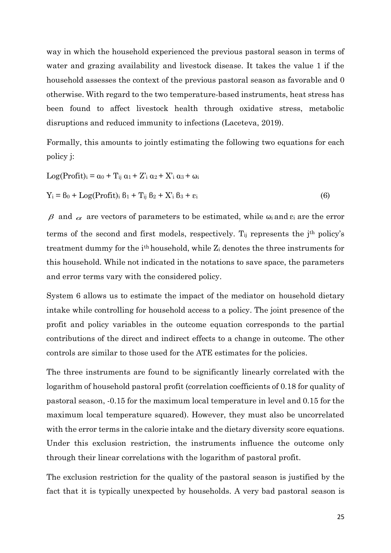way in which the household experienced the previous pastoral season in terms of water and grazing availability and livestock disease. It takes the value 1 if the household assesses the context of the previous pastoral season as favorable and 0 otherwise. With regard to the two temperature-based instruments, heat stress has been found to affect livestock health through oxidative stress, metabolic disruptions and reduced immunity to infections (Laceteva, 2019).

Formally, this amounts to jointly estimating the following two equations for each policy j:

$$
Log(Profit)i = \alpha_0 + T_{ij} \alpha_1 + Z'_{i} \alpha_2 + X'_{i} \alpha_3 + \omega_i
$$
  
\n
$$
Y_i = \beta_0 + Log(Profit)i \beta_1 + T_{ij} \beta_2 + X'_{i} \beta_3 + \varepsilon_i
$$
 (6)

 $\beta$  and  $\alpha$  are vectors of parameters to be estimated, while  $\omega_i$  and  $\varepsilon_i$  are the error terms of the second and first models, respectively.  $T_{ij}$  represents the j<sup>th</sup> policy's treatment dummy for the ith household, while Z<sup>i</sup> denotes the three instruments for this household. While not indicated in the notations to save space, the parameters and error terms vary with the considered policy.

System 6 allows us to estimate the impact of the mediator on household dietary intake while controlling for household access to a policy. The joint presence of the profit and policy variables in the outcome equation corresponds to the partial contributions of the direct and indirect effects to a change in outcome. The other controls are similar to those used for the ATE estimates for the policies.

The three instruments are found to be significantly linearly correlated with the logarithm of household pastoral profit (correlation coefficients of 0.18 for quality of pastoral season, -0.15 for the maximum local temperature in level and 0.15 for the maximum local temperature squared). However, they must also be uncorrelated with the error terms in the calorie intake and the dietary diversity score equations. Under this exclusion restriction, the instruments influence the outcome only through their linear correlations with the logarithm of pastoral profit.

The exclusion restriction for the quality of the pastoral season is justified by the fact that it is typically unexpected by households. A very bad pastoral season is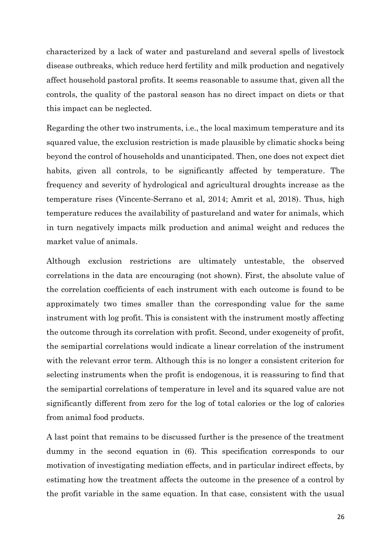characterized by a lack of water and pastureland and several spells of livestock disease outbreaks, which reduce herd fertility and milk production and negatively affect household pastoral profits. It seems reasonable to assume that, given all the controls, the quality of the pastoral season has no direct impact on diets or that this impact can be neglected.

Regarding the other two instruments, i.e., the local maximum temperature and its squared value, the exclusion restriction is made plausible by climatic shocks being beyond the control of households and unanticipated. Then, one does not expect diet habits, given all controls, to be significantly affected by temperature. The frequency and severity of hydrological and agricultural droughts increase as the temperature rises (Vincente-Serrano et al, 2014; Amrit et al, 2018). Thus, high temperature reduces the availability of pastureland and water for animals, which in turn negatively impacts milk production and animal weight and reduces the market value of animals.

Although exclusion restrictions are ultimately untestable, the observed correlations in the data are encouraging (not shown). First, the absolute value of the correlation coefficients of each instrument with each outcome is found to be approximately two times smaller than the corresponding value for the same instrument with log profit. This is consistent with the instrument mostly affecting the outcome through its correlation with profit. Second, under exogeneity of profit, the semipartial correlations would indicate a linear correlation of the instrument with the relevant error term. Although this is no longer a consistent criterion for selecting instruments when the profit is endogenous, it is reassuring to find that the semipartial correlations of temperature in level and its squared value are not significantly different from zero for the log of total calories or the log of calories from animal food products.

A last point that remains to be discussed further is the presence of the treatment dummy in the second equation in (6). This specification corresponds to our motivation of investigating mediation effects, and in particular indirect effects, by estimating how the treatment affects the outcome in the presence of a control by the profit variable in the same equation. In that case, consistent with the usual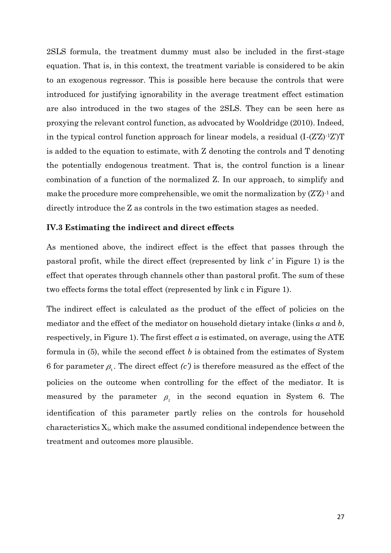2SLS formula, the treatment dummy must also be included in the first-stage equation. That is, in this context, the treatment variable is considered to be akin to an exogenous regressor. This is possible here because the controls that were introduced for justifying ignorability in the average treatment effect estimation are also introduced in the two stages of the 2SLS. They can be seen here as proxying the relevant control function, as advocated by Wooldridge (2010). Indeed, in the typical control function approach for linear models, a residual (I-(Z'Z)-1Z')T is added to the equation to estimate, with Z denoting the controls and T denoting the potentially endogenous treatment. That is, the control function is a linear combination of a function of the normalized Z. In our approach, to simplify and make the procedure more comprehensible, we omit the normalization by  $(Z'Z)^{-1}$  and directly introduce the Z as controls in the two estimation stages as needed.

### **IV.3 Estimating the indirect and direct effects**

As mentioned above, the indirect effect is the effect that passes through the pastoral profit, while the direct effect (represented by link *c'* in Figure 1) is the effect that operates through channels other than pastoral profit. The sum of these two effects forms the total effect (represented by link c in Figure 1).

The indirect effect is calculated as the product of the effect of policies on the mediator and the effect of the mediator on household dietary intake (links *a* and *b*, respectively, in Figure 1). The first effect  $a$  is estimated, on average, using the ATE formula in (5), while the second effect *b* is obtained from the estimates of System 6 for parameter  $\rho$ <sub>1</sub>. The direct effect *(c')* is therefore measured as the effect of the policies on the outcome when controlling for the effect of the mediator. It is measured by the parameter  $\beta_2$  in the second equation in System 6. The identification of this parameter partly relies on the controls for household characteristics  $X_i$ , which make the assumed conditional independence between the treatment and outcomes more plausible.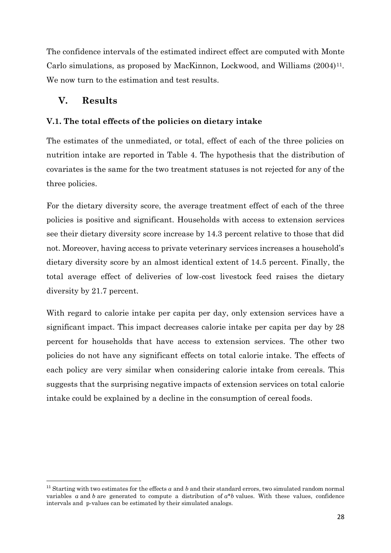The confidence intervals of the estimated indirect effect are computed with Monte Carlo simulations, as proposed by MacKinnon, Lockwood, and Williams (2004)11. We now turn to the estimation and test results.

### **V. Results**

### **V.1. The total effects of the policies on dietary intake**

The estimates of the unmediated, or total, effect of each of the three policies on nutrition intake are reported in Table 4. The hypothesis that the distribution of covariates is the same for the two treatment statuses is not rejected for any of the three policies.

For the dietary diversity score, the average treatment effect of each of the three policies is positive and significant. Households with access to extension services see their dietary diversity score increase by 14.3 percent relative to those that did not. Moreover, having access to private veterinary services increases a household's dietary diversity score by an almost identical extent of 14.5 percent. Finally, the total average effect of deliveries of low-cost livestock feed raises the dietary diversity by 21.7 percent.

With regard to calorie intake per capita per day, only extension services have a significant impact. This impact decreases calorie intake per capita per day by 28 percent for households that have access to extension services. The other two policies do not have any significant effects on total calorie intake. The effects of each policy are very similar when considering calorie intake from cereals. This suggests that the surprising negative impacts of extension services on total calorie intake could be explained by a decline in the consumption of cereal foods.

<sup>&</sup>lt;sup>11</sup> Starting with two estimates for the effects *a* and *b* and their standard errors, two simulated random normal variables *a* and *b* are generated to compute a distribution of  $a^*b$  values. With these values, confidence intervals and p-values can be estimated by their simulated analogs.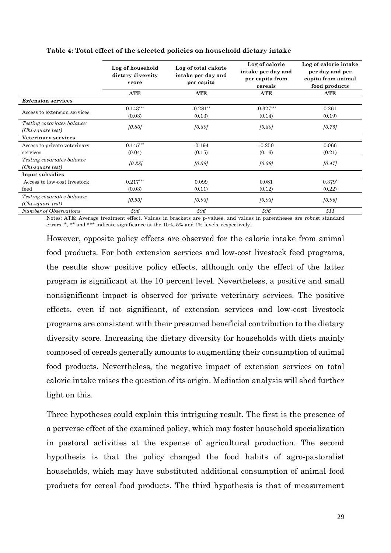|                                                         | Log of household<br>dietary diversity<br>score | Log of total calorie<br>intake per day and<br>per capita | Log of calorie<br>intake per day and<br>per capita from<br>cereals | Log of calorie intake<br>per day and per<br>capita from animal<br>food products |  |
|---------------------------------------------------------|------------------------------------------------|----------------------------------------------------------|--------------------------------------------------------------------|---------------------------------------------------------------------------------|--|
|                                                         | <b>ATE</b>                                     | ATE                                                      | ATE                                                                | ATE                                                                             |  |
| <b>Extension services</b>                               |                                                |                                                          |                                                                    |                                                                                 |  |
| Access to extension services                            | $0.143***$<br>(0.03)                           | $-0.281**$<br>(0.13)                                     | $-0.327***$<br>(0.14)                                              | 0.261<br>(0.19)                                                                 |  |
| <i>Testing covariates balance:</i><br>(Chi-square test) | [0.80]                                         | [0.80]                                                   | [0.80]                                                             | [0.75]                                                                          |  |
| Veterinary services                                     |                                                |                                                          |                                                                    |                                                                                 |  |
| Access to private veterinary                            | $0.145***$                                     | $-0.194$                                                 | $-0.250$                                                           | 0.066                                                                           |  |
| services                                                | (0.04)                                         | (0.15)                                                   | (0.16)                                                             | (0.21)                                                                          |  |
| <i>Testing covariates balance</i><br>(Chi-square test)  | [0.38]                                         | [0.38]                                                   | [0.38]                                                             | [0.47]                                                                          |  |
| Input subsidies                                         |                                                |                                                          |                                                                    |                                                                                 |  |
| Access to low-cost livestock                            | $0.217***$                                     | 0.099                                                    | 0.081                                                              | $0.379*$                                                                        |  |
| feed                                                    | (0.03)                                         | (0.11)                                                   | (0.12)                                                             | (0.22)                                                                          |  |
| <i>Testing covariates balance:</i><br>(Chi-square test) | [0.93]                                         | [0.93]                                                   | [0.93]                                                             | [0.96]                                                                          |  |
| Number of Observations                                  | 596                                            | 596                                                      | 596                                                                | 511                                                                             |  |

### **Table 4: Total effect of the selected policies on household dietary intake**

Notes: ATE: Average treatment effect. Values in brackets are p-values, and values in parentheses are robust standard errors. \*, \*\* and \*\*\* indicate significance at the 10%, 5% and 1% levels, respectively.

However, opposite policy effects are observed for the calorie intake from animal food products. For both extension services and low-cost livestock feed programs, the results show positive policy effects, although only the effect of the latter program is significant at the 10 percent level. Nevertheless, a positive and small nonsignificant impact is observed for private veterinary services. The positive effects, even if not significant, of extension services and low-cost livestock programs are consistent with their presumed beneficial contribution to the dietary diversity score. Increasing the dietary diversity for households with diets mainly composed of cereals generally amounts to augmenting their consumption of animal food products. Nevertheless, the negative impact of extension services on total calorie intake raises the question of its origin. Mediation analysis will shed further light on this.

Three hypotheses could explain this intriguing result. The first is the presence of a perverse effect of the examined policy, which may foster household specialization in pastoral activities at the expense of agricultural production. The second hypothesis is that the policy changed the food habits of agro-pastoralist households, which may have substituted additional consumption of animal food products for cereal food products. The third hypothesis is that of measurement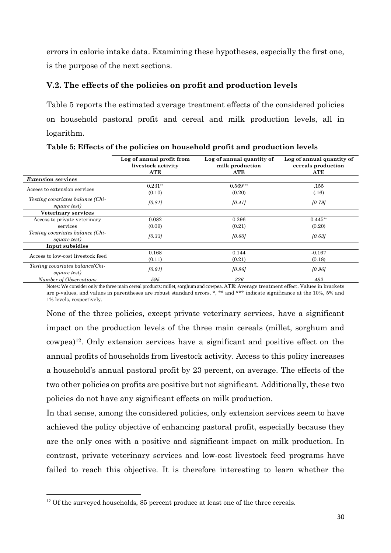errors in calorie intake data. Examining these hypotheses, especially the first one, is the purpose of the next sections.

### **V.2. The effects of the policies on profit and production levels**

Table 5 reports the estimated average treatment effects of the considered policies on household pastoral profit and cereal and milk production levels, all in logarithm.

|                                                         | Log of annual profit from<br>livestock activity | Log of annual quantity of<br>milk production | Log of annual quantity of<br>cereals production |
|---------------------------------------------------------|-------------------------------------------------|----------------------------------------------|-------------------------------------------------|
|                                                         | ATE                                             | ATE                                          | ATE                                             |
| <i>Extension services</i>                               |                                                 |                                              |                                                 |
|                                                         | $0.231**$                                       | $0.569***$                                   | .155                                            |
| Access to extension services                            | (0.10)                                          | (0.20)                                       | (.16)                                           |
| <i>Testing covariates balance (Chi-</i><br>square test) | [0.81]                                          | [0.41]                                       | [0.79]                                          |
| Veterinary services                                     |                                                 |                                              |                                                 |
| Access to private veterinary                            | 0.082                                           | 0.296                                        | $0.445**$                                       |
| services                                                | (0.09)                                          | (0.21)                                       | (0.20)                                          |
| <i>Testing covariates balance (Chi-</i><br>square test) | [0.33]                                          | [0.60]                                       | [0.63]                                          |
| Input subsidies                                         |                                                 |                                              |                                                 |
|                                                         | 0.168                                           | 0.144                                        | $-0.167$                                        |
| Access to low-cost livestock feed                       | (0.11)                                          | (0.21)                                       | (0.18)                                          |
| Testing covariates balance(Chi-<br>square test)         | [0.91]                                          | [0.96]                                       | [0.96]                                          |
| <b>Number of Observations</b>                           | 595                                             | 326<br>$\lambda$ $\lambda$                   | 482<br>$00 - 771$                               |

**Table 5: Effects of the policies on household profit and production levels**

Notes: We consider only the three main cereal products: millet, sorghum and cowpea. ATE: Average treatment effect. Values in brackets are p-values, and values in parentheses are robust standard errors. \*, \*\* and \*\*\* indicate significance at the 10%, 5% and 1% levels, respectively.

None of the three policies, except private veterinary services, have a significant impact on the production levels of the three main cereals (millet, sorghum and cowpea)12. Only extension services have a significant and positive effect on the annual profits of households from livestock activity. Access to this policy increases a household's annual pastoral profit by 23 percent, on average. The effects of the two other policies on profits are positive but not significant. Additionally, these two policies do not have any significant effects on milk production.

In that sense, among the considered policies, only extension services seem to have achieved the policy objective of enhancing pastoral profit, especially because they are the only ones with a positive and significant impact on milk production. In contrast, private veterinary services and low-cost livestock feed programs have failed to reach this objective. It is therefore interesting to learn whether the

<sup>&</sup>lt;sup>12</sup> Of the surveyed households, 85 percent produce at least one of the three cereals.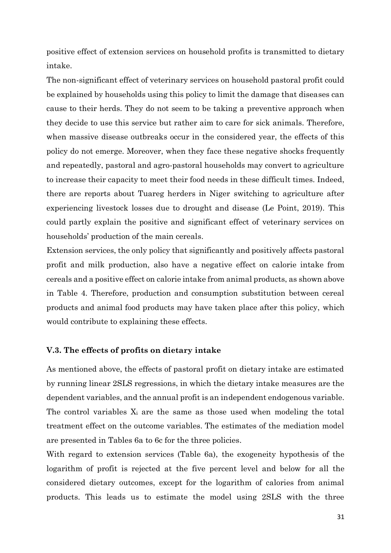positive effect of extension services on household profits is transmitted to dietary intake.

The non-significant effect of veterinary services on household pastoral profit could be explained by households using this policy to limit the damage that diseases can cause to their herds. They do not seem to be taking a preventive approach when they decide to use this service but rather aim to care for sick animals. Therefore, when massive disease outbreaks occur in the considered year, the effects of this policy do not emerge. Moreover, when they face these negative shocks frequently and repeatedly, pastoral and agro-pastoral households may convert to agriculture to increase their capacity to meet their food needs in these difficult times. Indeed, there are reports about Tuareg herders in Niger switching to agriculture after experiencing livestock losses due to drought and disease (Le Point, 2019). This could partly explain the positive and significant effect of veterinary services on households' production of the main cereals.

Extension services, the only policy that significantly and positively affects pastoral profit and milk production, also have a negative effect on calorie intake from cereals and a positive effect on calorie intake from animal products, as shown above in Table 4. Therefore, production and consumption substitution between cereal products and animal food products may have taken place after this policy, which would contribute to explaining these effects.

### **V.3. The effects of profits on dietary intake**

As mentioned above, the effects of pastoral profit on dietary intake are estimated by running linear 2SLS regressions, in which the dietary intake measures are the dependent variables, and the annual profit is an independent endogenous variable. The control variables  $X_i$  are the same as those used when modeling the total treatment effect on the outcome variables. The estimates of the mediation model are presented in Tables 6a to 6c for the three policies.

With regard to extension services (Table 6a), the exogeneity hypothesis of the logarithm of profit is rejected at the five percent level and below for all the considered dietary outcomes, except for the logarithm of calories from animal products. This leads us to estimate the model using 2SLS with the three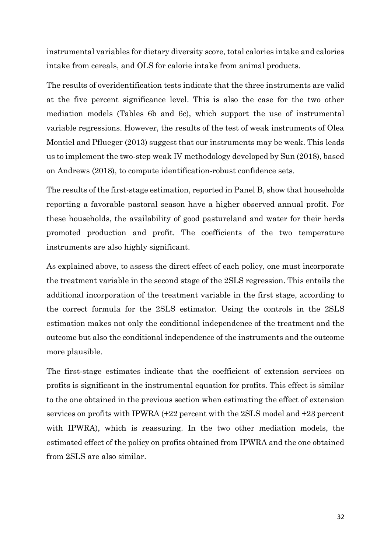instrumental variables for dietary diversity score, total calories intake and calories intake from cereals, and OLS for calorie intake from animal products.

The results of overidentification tests indicate that the three instruments are valid at the five percent significance level. This is also the case for the two other mediation models (Tables 6b and 6c), which support the use of instrumental variable regressions. However, the results of the test of weak instruments of Olea Montiel and Pflueger (2013) suggest that our instruments may be weak. This leads us to implement the two-step weak IV methodology developed by Sun (2018), based on Andrews (2018), to compute identification-robust confidence sets.

The results of the first-stage estimation, reported in Panel B, show that households reporting a favorable pastoral season have a higher observed annual profit. For these households, the availability of good pastureland and water for their herds promoted production and profit. The coefficients of the two temperature instruments are also highly significant.

As explained above, to assess the direct effect of each policy, one must incorporate the treatment variable in the second stage of the 2SLS regression. This entails the additional incorporation of the treatment variable in the first stage, according to the correct formula for the 2SLS estimator. Using the controls in the 2SLS estimation makes not only the conditional independence of the treatment and the outcome but also the conditional independence of the instruments and the outcome more plausible.

The first-stage estimates indicate that the coefficient of extension services on profits is significant in the instrumental equation for profits. This effect is similar to the one obtained in the previous section when estimating the effect of extension services on profits with IPWRA (+22 percent with the 2SLS model and +23 percent with IPWRA), which is reassuring. In the two other mediation models, the estimated effect of the policy on profits obtained from IPWRA and the one obtained from 2SLS are also similar.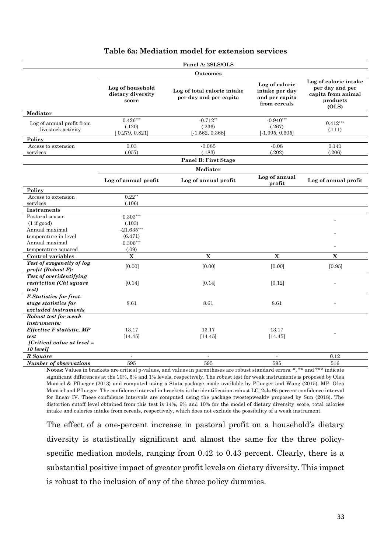|                                                                                                                               |                                                | Panel A: 2SLS/OLS                                     |                                                                    |                                                                                     |
|-------------------------------------------------------------------------------------------------------------------------------|------------------------------------------------|-------------------------------------------------------|--------------------------------------------------------------------|-------------------------------------------------------------------------------------|
|                                                                                                                               |                                                | <b>Outcomes</b>                                       |                                                                    |                                                                                     |
|                                                                                                                               | Log of household<br>dietary diversity<br>score | Log of total calorie intake<br>per day and per capita | Log of calorie<br>intake per day<br>and per capita<br>from cereals | Log of calorie intake<br>per day and per<br>capita from animal<br>products<br>(OLS) |
| Mediator                                                                                                                      |                                                |                                                       |                                                                    |                                                                                     |
| Log of annual profit from<br>livestock activity                                                                               | $0.426***$<br>(.120)<br>[0.279, 0.821]         | $-0.712**$<br>(.236)<br>$[-1.562, 0.368]$             | $-0.940***$<br>(.267)<br>$[-1.995, 0.605]$                         | $0.412***$<br>(.111)                                                                |
| Policy                                                                                                                        |                                                |                                                       |                                                                    |                                                                                     |
| Access to extension<br>services                                                                                               | 0.03<br>(.057)                                 | $-0.085$<br>(.183)                                    | $-0.08$<br>(.202)                                                  | 0.141<br>(.206)                                                                     |
|                                                                                                                               |                                                |                                                       |                                                                    |                                                                                     |
|                                                                                                                               |                                                | Panel B: First Stage                                  |                                                                    |                                                                                     |
|                                                                                                                               |                                                | Mediator                                              |                                                                    |                                                                                     |
|                                                                                                                               | Log of annual profit                           | Log of annual profit                                  | Log of annual<br>profit                                            | Log of annual profit                                                                |
| Policy                                                                                                                        |                                                |                                                       |                                                                    |                                                                                     |
| Access to extension                                                                                                           | $0.22**$                                       |                                                       |                                                                    |                                                                                     |
| services                                                                                                                      | (.106)                                         |                                                       |                                                                    |                                                                                     |
| Instruments                                                                                                                   |                                                |                                                       |                                                                    |                                                                                     |
| Pastoral season                                                                                                               | $0.303***$                                     |                                                       |                                                                    |                                                                                     |
| (1 if good)                                                                                                                   | (.103)                                         |                                                       |                                                                    |                                                                                     |
| Annual maximal                                                                                                                | $-21.635***$                                   |                                                       |                                                                    |                                                                                     |
| temperature in level                                                                                                          | (6.471)                                        |                                                       |                                                                    |                                                                                     |
| Annual maximal                                                                                                                | $0.306***$                                     |                                                       |                                                                    |                                                                                     |
| temperature squared                                                                                                           | (.09)                                          |                                                       |                                                                    |                                                                                     |
| Control variables                                                                                                             | $\overline{\mathbf{X}}$                        | $\overline{\mathbf{X}}$                               | $\overline{\mathbf{X}}$                                            | X                                                                                   |
| Test of exogeneity of log<br>profit (Robust F):                                                                               | [0.00]                                         | [0.00]                                                | [0.00]                                                             | [0.95]                                                                              |
| Test of overidentifying<br>restriction (Chi square<br><i>test</i> )                                                           | [0.14]                                         | [0.14]                                                | [0.12]                                                             |                                                                                     |
| <b>F-Statistics for first-</b><br>stage statistics for<br>excluded instruments                                                | 8.61                                           | 8.61                                                  | 8.61                                                               |                                                                                     |
| Robust test for weak<br><i>instruments:</i><br>Effective F statistic, MP<br>test<br>$[Critical value at level =$<br>10 levell | 13.17<br>[14.45]                               | 13.17<br>[14.45]                                      | 13.17<br>[14.45]                                                   |                                                                                     |
| R Square                                                                                                                      | $\blacksquare$                                 | $\blacksquare$                                        | $\overline{a}$                                                     | 0.12                                                                                |
| <b>Number of observations</b>                                                                                                 | 595                                            | 595                                                   | 595                                                                | 516                                                                                 |

### **Table 6a: Mediation model for extension services**

Notes: Values in brackets are critical p-values, and values in parentheses are robust standard errors. \*, \*\* and \*\*\* indicate significant differences at the 10%, 5% and 1% levels, respectively. The robust test for weak instruments is proposed by Olea Montiel & Pflueger (2013) and computed using a Stata package made available by Pflueger and Wang (2015). MP: Olea Montiel and Pflueger. The confidence interval in brackets is the identification-robust LC\_2sls 95 percent confidence interval for linear IV. These confidence intervals are computed using the package twostepweakiv proposed by Sun (2018). The distortion cutoff level obtained from this test is 14%, 9% and 10% for the model of dietary diversity score, total calories intake and calories intake from cereals, respectively, which does not exclude the possibility of a weak instrument.

The effect of a one-percent increase in pastoral profit on a household's dietary diversity is statistically significant and almost the same for the three policyspecific mediation models, ranging from 0.42 to 0.43 percent. Clearly, there is a substantial positive impact of greater profit levels on dietary diversity. This impact is robust to the inclusion of any of the three policy dummies.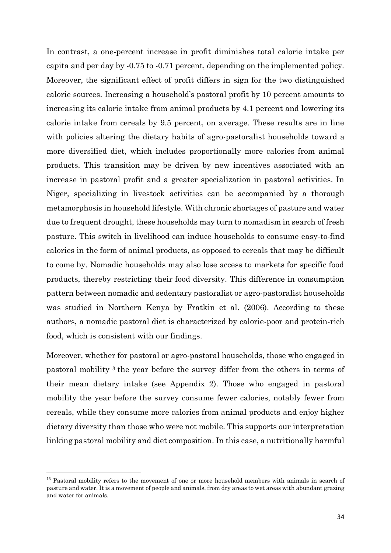In contrast, a one-percent increase in profit diminishes total calorie intake per capita and per day by -0.75 to -0.71 percent, depending on the implemented policy. Moreover, the significant effect of profit differs in sign for the two distinguished calorie sources. Increasing a household's pastoral profit by 10 percent amounts to increasing its calorie intake from animal products by 4.1 percent and lowering its calorie intake from cereals by 9.5 percent, on average. These results are in line with policies altering the dietary habits of agro-pastoralist households toward a more diversified diet, which includes proportionally more calories from animal products. This transition may be driven by new incentives associated with an increase in pastoral profit and a greater specialization in pastoral activities. In Niger, specializing in livestock activities can be accompanied by a thorough metamorphosis in household lifestyle. With chronic shortages of pasture and water due to frequent drought, these households may turn to nomadism in search of fresh pasture. This switch in livelihood can induce households to consume easy-to-find calories in the form of animal products, as opposed to cereals that may be difficult to come by. Nomadic households may also lose access to markets for specific food products, thereby restricting their food diversity. This difference in consumption pattern between nomadic and sedentary pastoralist or agro-pastoralist households was studied in Northern Kenya by Fratkin et al. (2006). According to these authors, a nomadic pastoral diet is characterized by calorie-poor and protein-rich food, which is consistent with our findings.

Moreover, whether for pastoral or agro-pastoral households, those who engaged in pastoral mobility<sup>13</sup> the year before the survey differ from the others in terms of their mean dietary intake (see Appendix 2). Those who engaged in pastoral mobility the year before the survey consume fewer calories, notably fewer from cereals, while they consume more calories from animal products and enjoy higher dietary diversity than those who were not mobile. This supports our interpretation linking pastoral mobility and diet composition. In this case, a nutritionally harmful

<sup>&</sup>lt;sup>13</sup> Pastoral mobility refers to the movement of one or more household members with animals in search of pasture and water. It is a movement of people and animals, from dry areas to wet areas with abundant grazing and water for animals.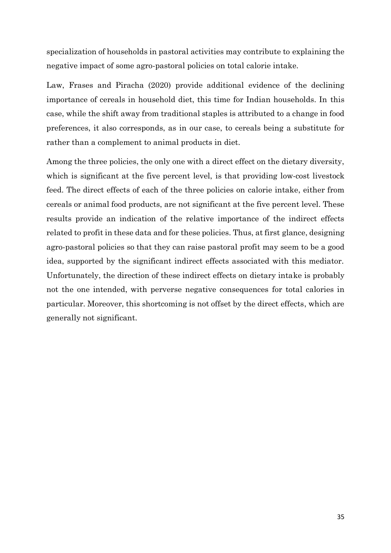specialization of households in pastoral activities may contribute to explaining the negative impact of some agro-pastoral policies on total calorie intake.

Law, Frases and Piracha (2020) provide additional evidence of the declining importance of cereals in household diet, this time for Indian households. In this case, while the shift away from traditional staples is attributed to a change in food preferences, it also corresponds, as in our case, to cereals being a substitute for rather than a complement to animal products in diet.

Among the three policies, the only one with a direct effect on the dietary diversity, which is significant at the five percent level, is that providing low-cost livestock feed. The direct effects of each of the three policies on calorie intake, either from cereals or animal food products, are not significant at the five percent level. These results provide an indication of the relative importance of the indirect effects related to profit in these data and for these policies. Thus, at first glance, designing agro-pastoral policies so that they can raise pastoral profit may seem to be a good idea, supported by the significant indirect effects associated with this mediator. Unfortunately, the direction of these indirect effects on dietary intake is probably not the one intended, with perverse negative consequences for total calories in particular. Moreover, this shortcoming is not offset by the direct effects, which are generally not significant.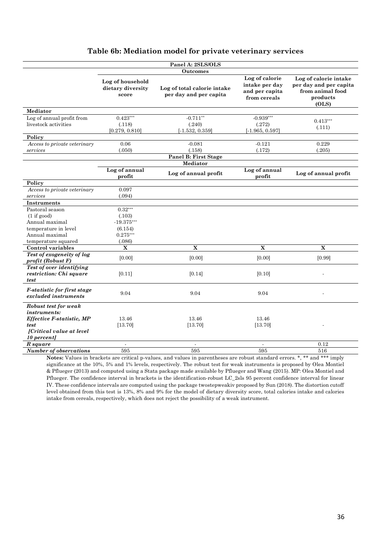| Table 6b: Mediation model for private veterinary services |  |  |
|-----------------------------------------------------------|--|--|
|                                                           |  |  |

|                                                             |                                                | Panel A: 2SLS/OLS                                     |                                                                    |                                                                                          |
|-------------------------------------------------------------|------------------------------------------------|-------------------------------------------------------|--------------------------------------------------------------------|------------------------------------------------------------------------------------------|
|                                                             |                                                | <b>Outcomes</b>                                       |                                                                    |                                                                                          |
|                                                             | Log of household<br>dietary diversity<br>score | Log of total calorie intake<br>per day and per capita | Log of calorie<br>intake per day<br>and per capita<br>from cereals | Log of calorie intake<br>per day and per capita<br>from animal food<br>products<br>(OLS) |
| Mediator                                                    |                                                |                                                       |                                                                    |                                                                                          |
| Log of annual profit from                                   | $0.423***$                                     | $-0.711**$                                            | $-0.939***$                                                        | $0.413***$                                                                               |
| livestock activities                                        | (.118)                                         | (.240)                                                | (.272)                                                             |                                                                                          |
|                                                             | [0.279, 0.810]                                 | $[-1.532, 0.359]$                                     | $[-1.965, 0.597]$                                                  | (.111)                                                                                   |
| Policy                                                      |                                                |                                                       |                                                                    |                                                                                          |
| Access to private veterinary                                | 0.06                                           | $-0.081$                                              | $-0.121$                                                           | 0.229                                                                                    |
| services                                                    | (.050)                                         | (.158)                                                | (.172)                                                             | (.205)                                                                                   |
|                                                             |                                                | Panel B: First Stage                                  |                                                                    |                                                                                          |
|                                                             |                                                | Mediator                                              |                                                                    |                                                                                          |
|                                                             | Log of annual<br>profit                        | Log of annual profit                                  | Log of annual<br>profit                                            | Log of annual profit                                                                     |
| Policy                                                      |                                                |                                                       |                                                                    |                                                                                          |
| Access to private veterinary                                | 0.097                                          |                                                       |                                                                    |                                                                                          |
| services                                                    | (.094)                                         |                                                       |                                                                    |                                                                                          |
| <b>Instruments</b>                                          |                                                |                                                       |                                                                    |                                                                                          |
| Pastoral season                                             | $0.32***$                                      |                                                       |                                                                    |                                                                                          |
| (1 if good)                                                 | (.103)                                         |                                                       |                                                                    |                                                                                          |
| Annual maximal                                              | $-19.375***$                                   |                                                       |                                                                    |                                                                                          |
| temperature in level                                        | (6.154)                                        |                                                       |                                                                    |                                                                                          |
| Annual maximal                                              | $0.275***$                                     |                                                       |                                                                    |                                                                                          |
| temperature squared                                         | (.086)                                         |                                                       |                                                                    |                                                                                          |
| Control variables                                           | $\mathbf X$                                    | $\mathbf X$                                           | $\mathbf X$                                                        | $\mathbf X$                                                                              |
| Test of exogeneity of log<br>profit (Robust F)              | [0.00]                                         | [0.00]                                                | [0.00]                                                             | [0.99]                                                                                   |
| Test of over identifying<br>restriction: Chi square<br>test | [0.11]                                         | [0.14]                                                | [0.10]                                                             |                                                                                          |
| <i>F-statistic for first stage</i><br>excluded instruments  | 9.04                                           | 9.04                                                  | 9.04                                                               |                                                                                          |
| Robust test for weak<br><i>instruments:</i>                 |                                                |                                                       |                                                                    |                                                                                          |
| Effective F-statistic, MP                                   | 13.46                                          | 13.46                                                 | 13.46                                                              |                                                                                          |
| test                                                        | [13.70]                                        | [13.70]                                               | [13.70]                                                            |                                                                                          |
| [Critical value at level                                    |                                                |                                                       |                                                                    |                                                                                          |
| 10 percent]                                                 |                                                |                                                       |                                                                    |                                                                                          |
| R square                                                    | $\blacksquare$                                 | $\blacksquare$                                        | $\blacksquare$                                                     | 0.12                                                                                     |
| <b>Number of observations</b>                               | 595                                            | 595                                                   | 595                                                                | 516                                                                                      |

Notes: Values in brackets are critical p-values, and values in parentheses are robust standard errors. \*, \*\* and \*\*\* imply significance at the 10%, 5% and 1% levels, respectively. The robust test for weak instruments is proposed by Olea Montiel & Pflueger (2013) and computed using a Stata package made available by Pflueger and Wang (2015). MP: Olea Montiel and Pflueger. The confidence interval in brackets is the identification-robust LC\_2sls 95 percent confidence interval for linear IV. These confidence intervals are computed using the package twostepweakiv proposed by Sun (2018). The distortion cutoff level obtained from this test is 13%, 8% and 9% for the model of dietary diversity score, total calories intake and calories intake from cereals, respectively, which does not reject the possibility of a weak instrument.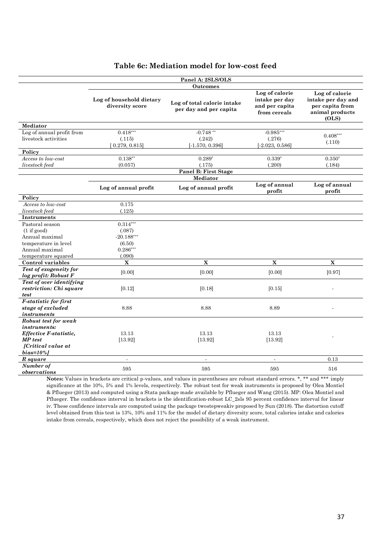|                                                                         |                                             | Panel A: 2SLS/OLS                                     |                                                                    |                                                                                     |
|-------------------------------------------------------------------------|---------------------------------------------|-------------------------------------------------------|--------------------------------------------------------------------|-------------------------------------------------------------------------------------|
|                                                                         |                                             | Outcomes                                              |                                                                    |                                                                                     |
|                                                                         | Log of household dietary<br>diversity score | Log of total calorie intake<br>per day and per capita | Log of calorie<br>intake per day<br>and per capita<br>from cereals | Log of calorie<br>intake per day and<br>per capita from<br>animal products<br>(OLS) |
| Mediator                                                                |                                             |                                                       |                                                                    |                                                                                     |
| Log of annual profit from                                               | $0.418***$                                  | $-0.748**$                                            | $-0.985***$                                                        | $0.408***$                                                                          |
| livestock activities                                                    | (.115)<br>[0.279, 0.815]                    | (.242)<br>$[-1.570, 0.396]$                           | (.276)<br>$[-2.023, 0.586]$                                        | (.110)                                                                              |
| Policy                                                                  |                                             |                                                       |                                                                    |                                                                                     |
| Access to low-cost                                                      | $0.138**$                                   | $0.289*$                                              | $0.339*$                                                           | $0.350*$                                                                            |
| livestock feed                                                          | (0.057)                                     | (.175)                                                | (.200)                                                             | (.184)                                                                              |
|                                                                         |                                             | <b>Panel B: First Stage</b>                           |                                                                    |                                                                                     |
|                                                                         |                                             | Mediator                                              |                                                                    |                                                                                     |
|                                                                         | Log of annual profit                        | Log of annual profit                                  | Log of annual<br>profit                                            | Log of annual<br>profit                                                             |
| Policy                                                                  |                                             |                                                       |                                                                    |                                                                                     |
| Access to low-cost                                                      | 0.175                                       |                                                       |                                                                    |                                                                                     |
| livestock feed                                                          | (.125)                                      |                                                       |                                                                    |                                                                                     |
| Instruments                                                             |                                             |                                                       |                                                                    |                                                                                     |
| Pastoral season                                                         | $0.314***$                                  |                                                       |                                                                    |                                                                                     |
| (1 if good)                                                             | (.087)                                      |                                                       |                                                                    |                                                                                     |
| Annual maximal                                                          | $-20.188***$                                |                                                       |                                                                    |                                                                                     |
| temperature in level                                                    | (6.50)                                      |                                                       |                                                                    |                                                                                     |
| Annual maximal                                                          | $0.286***$                                  |                                                       |                                                                    |                                                                                     |
| temperature squared                                                     | (.090)                                      |                                                       |                                                                    |                                                                                     |
| Control variables                                                       | $\mathbf X$                                 | $\mathbf X$                                           | X                                                                  | $\overline{\mathbf{X}}$                                                             |
| Test of exogeneity for<br>log profit: Robust F                          | [0.00]                                      | [0.00]                                                | [0.00]                                                             | [0.97]                                                                              |
| Test of over identifying<br>restriction: Chi square<br>test             | [0.12]                                      | [0.18]                                                | [0.15]                                                             |                                                                                     |
| <b>F-statistic for first</b><br>stage of excluded<br><i>instruments</i> | 8.88                                        | 8.88                                                  | 8.89                                                               |                                                                                     |
| Robust test for weak<br><i>instruments:</i><br>Effective F-statistic.   | 13.13                                       | 13.13                                                 | 13.13                                                              |                                                                                     |
| MP test<br><i>[Critical value at</i> ]<br>$bias = 10\%$                 | [13.92]                                     | [13.92]                                               | [13.92]                                                            |                                                                                     |
| R square                                                                | $\sim$                                      | $\overline{\phantom{a}}$                              | $\sim$                                                             | 0.13                                                                                |
| Number of<br>observations                                               | 595                                         | 595                                                   | 595                                                                | 516                                                                                 |

### **Table 6c: Mediation model for low-cost feed**

**Notes:** Values in brackets are critical p-values, and values in parentheses are robust standard errors. \*, \*\* and \*\*\* imply significance at the 10%, 5% and 1% levels, respectively. The robust test for weak instruments is proposed by Olea Montiel & Pflueger (2013) and computed using a Stata package made available by Pflueger and Wang (2015). MP: Olea Montiel and Pflueger. The confidence interval in brackets is the identification-robust LC\_2sls 95 percent confidence interval for linear iv. These confidence intervals are computed using the package twostepweakiv proposed by Sun (2018). The distortion cutoff level obtained from this test is 13%, 10% and 11% for the model of dietary diversity score, total calories intake and calories intake from cereals, respectively, which does not reject the possibility of a weak instrument.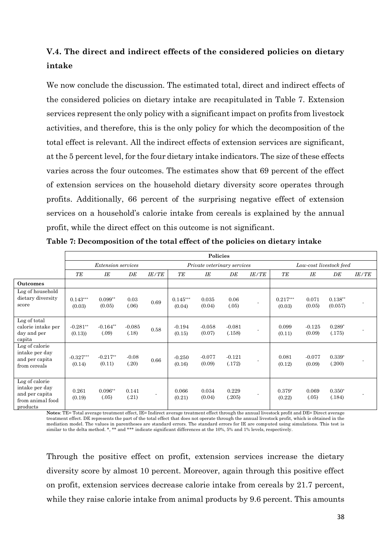### **V.4. The direct and indirect effects of the considered policies on dietary intake**

We now conclude the discussion. The estimated total, direct and indirect effects of the considered policies on dietary intake are recapitulated in Table 7. Extension services represent the only policy with a significant impact on profits from livestock activities, and therefore, this is the only policy for which the decomposition of the total effect is relevant. All the indirect effects of extension services are significant, at the 5 percent level, for the four dietary intake indicators. The size of these effects varies across the four outcomes. The estimates show that 69 percent of the effect of extension services on the household dietary diversity score operates through profits. Additionally, 66 percent of the surprising negative effect of extension services on a household's calorie intake from cereals is explained by the annual profit, while the direct effect on this outcome is not significant.

|                                                                                    | <b>Policies</b>           |                      |                   |                |                             |                    |                    |                          |                         |                    |                      |              |
|------------------------------------------------------------------------------------|---------------------------|----------------------|-------------------|----------------|-----------------------------|--------------------|--------------------|--------------------------|-------------------------|--------------------|----------------------|--------------|
|                                                                                    | <i>Extension services</i> |                      |                   |                | Private veterinary services |                    |                    |                          | Low-cost livestock feed |                    |                      |              |
|                                                                                    | TE                        | IE                   | DE                | <b>IE/TE</b>   | TE                          | IE                 | DE                 | <b>IE/TE</b>             | TE                      | ΙE                 | DE                   | <b>IE/TE</b> |
| <b>Outcomes</b>                                                                    |                           |                      |                   |                |                             |                    |                    |                          |                         |                    |                      |              |
| Log of household<br>dietary diversity<br>score                                     | $0.143***$<br>(0.03)      | $0.099**$<br>(0.05)  | 0.03<br>(.06)     | 0.69           | $0.145***$<br>(0.04)        | 0.035<br>(0.04)    | 0.06<br>(.05)      |                          | $0.217***$<br>(0.03)    | 0.071<br>(0.05)    | $0.138**$<br>(0.057) |              |
| Log of total<br>calorie intake per<br>day and per<br>capita                        | $-0.281**$<br>(0.13)      | $-0.164**$<br>(.09)  | $-0.085$<br>(.18) | 0.58           | $-0.194$<br>(0.15)          | $-0.058$<br>(0.07) | $-0.081$<br>(.158) | $\overline{\phantom{a}}$ | 0.099<br>(0.11)         | $-0.125$<br>(0.09) | $0.289*$<br>(.175)   |              |
| Log of calorie<br>intake per day<br>and per capita<br>from cereals                 | $-0.327***$<br>(0.14)     | $-0.217**$<br>(0.11) | $-0.08$<br>(.20)  | 0.66           | $-0.250$<br>(0.16)          | $-0.077$<br>(0.09) | $-0.121$<br>(.172) |                          | 0.081<br>(0.12)         | $-0.077$<br>(0.09) | $0.339*$<br>(.200)   |              |
| Log of calorie<br>intake per day<br>and per capita<br>from animal food<br>products | 0.261<br>(0.19)           | $0.096**$<br>(.05)   | 0.141<br>(.21)    | $\blacksquare$ | 0.066<br>(0.21)             | 0.034<br>(0.04)    | 0.229<br>(.205)    |                          | $0.379*$<br>(0.22)      | 0.069<br>(.05)     | $0.350*$<br>(.184)   |              |

**Table 7: Decomposition of the total effect of the policies on dietary intake**

**Notes**: TE= Total average treatment effect, IE= Indirect average treatment effect through the annual livestock profit and DE= Direct average treatment effect. DE represents the part of the total effect that does not operate through the annual livestock profit, which is obtained in the mediation model. The values in parentheses are standard errors. The standard errors for IE are computed using simulations. This test is similar to the delta method. \*, \*\* and \*\*\* indicate significant differences at the 10%, 5% and 1% levels, respectively.

Through the positive effect on profit, extension services increase the dietary diversity score by almost 10 percent. Moreover, again through this positive effect on profit, extension services decrease calorie intake from cereals by 21.7 percent, while they raise calorie intake from animal products by 9.6 percent. This amounts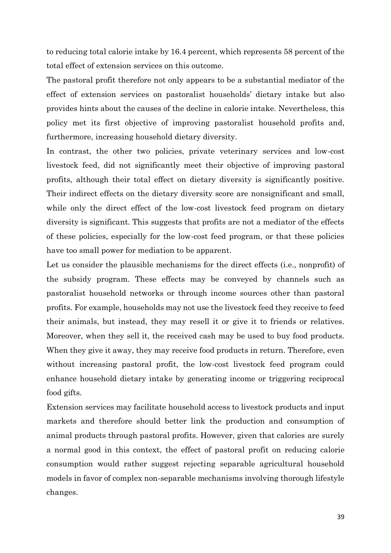to reducing total calorie intake by 16.4 percent, which represents 58 percent of the total effect of extension services on this outcome.

The pastoral profit therefore not only appears to be a substantial mediator of the effect of extension services on pastoralist households' dietary intake but also provides hints about the causes of the decline in calorie intake. Nevertheless, this policy met its first objective of improving pastoralist household profits and, furthermore, increasing household dietary diversity.

In contrast, the other two policies, private veterinary services and low-cost livestock feed, did not significantly meet their objective of improving pastoral profits, although their total effect on dietary diversity is significantly positive. Their indirect effects on the dietary diversity score are nonsignificant and small, while only the direct effect of the low-cost livestock feed program on dietary diversity is significant. This suggests that profits are not a mediator of the effects of these policies, especially for the low-cost feed program, or that these policies have too small power for mediation to be apparent.

Let us consider the plausible mechanisms for the direct effects (i.e., nonprofit) of the subsidy program. These effects may be conveyed by channels such as pastoralist household networks or through income sources other than pastoral profits. For example, households may not use the livestock feed they receive to feed their animals, but instead, they may resell it or give it to friends or relatives. Moreover, when they sell it, the received cash may be used to buy food products. When they give it away, they may receive food products in return. Therefore, even without increasing pastoral profit, the low-cost livestock feed program could enhance household dietary intake by generating income or triggering reciprocal food gifts.

Extension services may facilitate household access to livestock products and input markets and therefore should better link the production and consumption of animal products through pastoral profits. However, given that calories are surely a normal good in this context, the effect of pastoral profit on reducing calorie consumption would rather suggest rejecting separable agricultural household models in favor of complex non-separable mechanisms involving thorough lifestyle changes.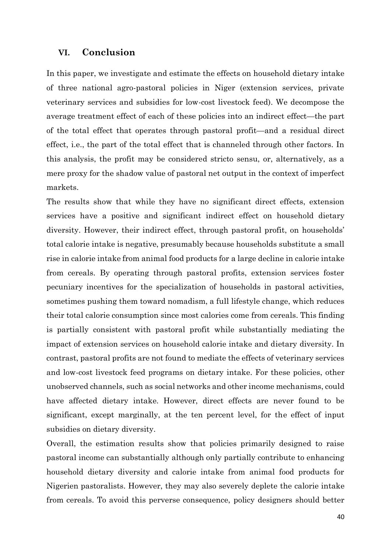### **VI. Conclusion**

In this paper, we investigate and estimate the effects on household dietary intake of three national agro-pastoral policies in Niger (extension services, private veterinary services and subsidies for low-cost livestock feed). We decompose the average treatment effect of each of these policies into an indirect effect—the part of the total effect that operates through pastoral profit—and a residual direct effect, i.e., the part of the total effect that is channeled through other factors. In this analysis, the profit may be considered stricto sensu, or, alternatively, as a mere proxy for the shadow value of pastoral net output in the context of imperfect markets.

The results show that while they have no significant direct effects, extension services have a positive and significant indirect effect on household dietary diversity. However, their indirect effect, through pastoral profit, on households' total calorie intake is negative, presumably because households substitute a small rise in calorie intake from animal food products for a large decline in calorie intake from cereals. By operating through pastoral profits, extension services foster pecuniary incentives for the specialization of households in pastoral activities, sometimes pushing them toward nomadism, a full lifestyle change, which reduces their total calorie consumption since most calories come from cereals. This finding is partially consistent with pastoral profit while substantially mediating the impact of extension services on household calorie intake and dietary diversity. In contrast, pastoral profits are not found to mediate the effects of veterinary services and low-cost livestock feed programs on dietary intake. For these policies, other unobserved channels, such as social networks and other income mechanisms, could have affected dietary intake. However, direct effects are never found to be significant, except marginally, at the ten percent level, for the effect of input subsidies on dietary diversity.

Overall, the estimation results show that policies primarily designed to raise pastoral income can substantially although only partially contribute to enhancing household dietary diversity and calorie intake from animal food products for Nigerien pastoralists. However, they may also severely deplete the calorie intake from cereals. To avoid this perverse consequence, policy designers should better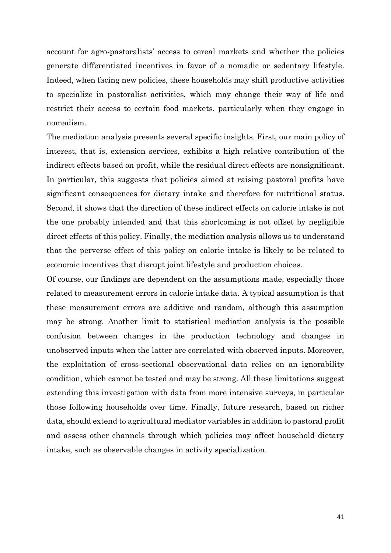account for agro-pastoralists' access to cereal markets and whether the policies generate differentiated incentives in favor of a nomadic or sedentary lifestyle. Indeed, when facing new policies, these households may shift productive activities to specialize in pastoralist activities, which may change their way of life and restrict their access to certain food markets, particularly when they engage in nomadism.

The mediation analysis presents several specific insights. First, our main policy of interest, that is, extension services, exhibits a high relative contribution of the indirect effects based on profit, while the residual direct effects are nonsignificant. In particular, this suggests that policies aimed at raising pastoral profits have significant consequences for dietary intake and therefore for nutritional status. Second, it shows that the direction of these indirect effects on calorie intake is not the one probably intended and that this shortcoming is not offset by negligible direct effects of this policy. Finally, the mediation analysis allows us to understand that the perverse effect of this policy on calorie intake is likely to be related to economic incentives that disrupt joint lifestyle and production choices.

Of course, our findings are dependent on the assumptions made, especially those related to measurement errors in calorie intake data. A typical assumption is that these measurement errors are additive and random, although this assumption may be strong. Another limit to statistical mediation analysis is the possible confusion between changes in the production technology and changes in unobserved inputs when the latter are correlated with observed inputs. Moreover, the exploitation of cross-sectional observational data relies on an ignorability condition, which cannot be tested and may be strong. All these limitations suggest extending this investigation with data from more intensive surveys, in particular those following households over time. Finally, future research, based on richer data, should extend to agricultural mediator variables in addition to pastoral profit and assess other channels through which policies may affect household dietary intake, such as observable changes in activity specialization.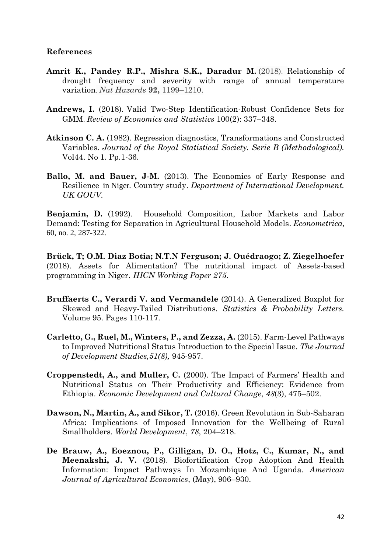### **References**

- **Amrit K., Pandey R.P., Mishra S.K., Daradur M.** (2018). Relationship of drought frequency and severity with range of annual temperature variation. *Nat Hazards* **92,** 1199–1210.
- **Andrews, I.** (2018). Valid Two-Step Identification-Robust Confidence Sets for GMM. *Review of Economics and Statistics* 100(2): 337–348.
- **Atkinson C. A.** (1982). Regression diagnostics, Transformations and Constructed Variables. *Journal of the Royal Statistical Society. Serie B (Methodological).*  Vol44. No 1. Pp.1-36.
- **Ballo, M. and Bauer, J-M.** (2013). The Economics of Early Response and Resilience in Niger. Country study. *Department of International Development. UK GOUV.*

**Benjamin, D.** (1992). Household Composition, Labor Markets and Labor Demand: Testing for Separation in Agricultural Household Models. *Econometrica*, 60, no. 2, 287-322.

**Brück, T; O.M. Diaz Botia; N.T.N Ferguson; J. Ouédraogo; Z. Ziegelhoefer** (2018). Assets for Alimentation? The nutritional impact of Assets-based programming in Niger. *HICN Working Paper 275*.

- **Bruffaerts C., Verardi V. and Vermandele** (2014). A Generalized Boxplot for Skewed and Heavy-Tailed Distributions. *Statistics & Probability Letters.*  Volume 95. Pages 110-117.
- **Carletto, G., Ruel, M., Winters, P., and Zezza, A.** (2015). Farm-Level Pathways to Improved Nutritional Status Introduction to the Special Issue. *The Journal of Development Studies,51(8),* 945-957.
- **Croppenstedt, A., and Muller, C.** (2000). The Impact of Farmers' Health and Nutritional Status on Their Productivity and Efficiency: Evidence from Ethiopia. *Economic Development and Cultural Change*, *48*(3), 475–502.
- **Dawson, N., Martin, A., and Sikor, T.** (2016). Green Revolution in Sub-Saharan Africa: Implications of Imposed Innovation for the Wellbeing of Rural Smallholders. *World Development*, *78*, 204–218.
- **De Brauw, A., Eoeznou, P., Gilligan, D. O., Hotz, C., Kumar, N., and Meenakshi, J. V.** (2018). Biofortification Crop Adoption And Health Information: Impact Pathways In Mozambique And Uganda. *American Journal of Agricultural Economics*, (May), 906–930.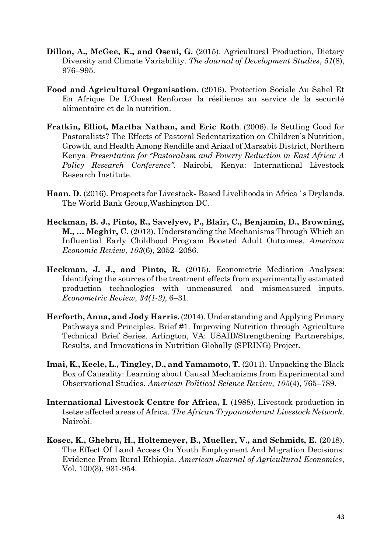- **Dillon, A., McGee, K., and Oseni, G.** (2015). Agricultural Production, Dietary Diversity and Climate Variability. *The Journal of Development Studies*, *51*(8), 976–995.
- **Food and Agricultural Organisation.** (2016). Protection Sociale Au Sahel Et En Afrique De L'Ouest Renforcer la résilience au service de la securité alimentaire et de la nutrition.
- **Fratkin, Elliot, Martha Nathan, and Eric Roth**. (2006). Is Settling Good for Pastoralists? The Effects of Pastoral Sedentarization on Children's Nutrition, Growth, and Health Among Rendille and Ariaal of Marsabit District, Northern Kenya. *Presentation for "Pastoralism and Poverty Reduction in East Africa: A Policy Research Conference".* Nairobi, Kenya: International Livestock Research Institute.
- **Haan, D.** (2016). Prospects for Livestock- Based Livelihoods in Africa ' s Drylands. The World Bank Group,Washington DC.
- **Heckman, B. J., Pinto, R., Savelyev, P., Blair, C., Benjamin, D., Browning, M., … Meghir, C.** (2013). Understanding the Mechanisms Through Which an Influential Early Childhood Program Boosted Adult Outcomes. *American Economic Review*, *103*(6), 2052–2086.
- **Heckman, J. J., and Pinto, R.** (2015). Econometric Mediation Analyses: Identifying the sources of the treatment effects from experimentally estimated production technologies with unmeasured and mismeasured inputs. *Econometric Review*, *34(1*-*2)*, 6–31.
- **Herforth, Anna, and Jody Harris.** (2014). Understanding and Applying Primary Pathways and Principles. Brief #1. Improving Nutrition through Agriculture Technical Brief Series. Arlington, VA: USAID/Strengthening Partnerships, Results, and Innovations in Nutrition Globally (SPRING) Project.
- **Imai, K., Keele, L., Tingley, D., and Yamamoto, T.** (2011). Unpacking the Black Box of Causality: Learning about Causal Mechanisms from Experimental and Observational Studies. *American Political Science Review*, *105*(4), 765–789.
- **International Livestock Centre for Africa, I.** (1988). Livestock production in tsetse affected areas of Africa. *The African Trypanotolerant Livestock Network*. Nairobi.
- **Kosec, K., Ghebru, H., Holtemeyer, B., Mueller, V., and Schmidt, E.** (2018). The Effect Of Land Access On Youth Employment And Migration Decisions: Evidence From Rural Ethiopia. *American Journal of Agricultural Economics*, Vol. 100(3), 931-954.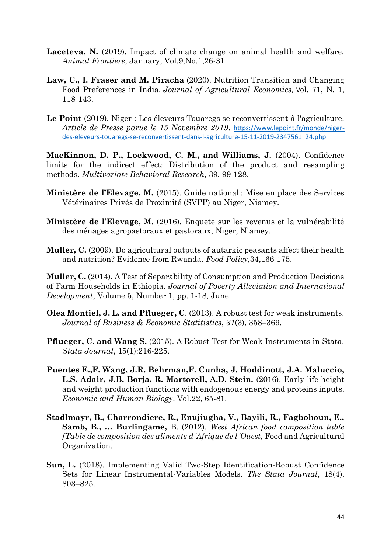- **Laceteva, N.** (2019). Impact of climate change on animal health and welfare. *Animal Frontiers*, January, Vol.9,No.1,26-31
- **Law, C., I. Fraser and M. Piracha** (2020). Nutrition Transition and Changing Food Preferences in India. *Journal of Agricultural Economics*, Vol. 71, N. 1, 118-143.
- **Le Point** (2019). Niger : Les éleveurs Touaregs se reconvertissent à l'agriculture. *Article de Presse parue le 15 Novembre 2019*. [https://www.lepoint.fr/monde/niger](https://www.lepoint.fr/monde/niger-des-eleveurs-touaregs-se-reconvertissent-dans-l-agriculture-15-11-2019-2347561_24.php)[des-eleveurs-touaregs-se-reconvertissent-dans-l-agriculture-15-11-2019-2347561\\_24.php](https://www.lepoint.fr/monde/niger-des-eleveurs-touaregs-se-reconvertissent-dans-l-agriculture-15-11-2019-2347561_24.php)

**MacKinnon, D. P., Lockwood, C. M., and Williams, J.** (2004). Confidence limits for the indirect effect: Distribution of the product and resampling methods. *Multivariate Behavioral Research,* 39, 99-128.

- **Ministère de l'Elevage, M.** (2015). Guide national : Mise en place des Services Vétérinaires Privés de Proximité (SVPP) au Niger, Niamey*.*
- **Ministère de l'Elevage, M.** (2016). Enquete sur les revenus et la vulnérabilité des ménages agropastoraux et pastoraux, Niger, Niamey.
- **Muller, C.** (2009). Do agricultural outputs of autarkic peasants affect their health and nutrition? Evidence from Rwanda. *Food Policy,*34,166-175.

**Muller, C.** (2014). A Test of Separability of Consumption and Production Decisions of Farm Households in Ethiopia. *Journal of Poverty Alleviation and International Development*, Volume 5, Number 1, pp. 1-18, June.

- **Olea Montiel, J. L. and Pflueger, C**. (2013). A robust test for weak instruments. *Journal of Business & Economic Statitistics*, *31*(3), 358–369.
- **Pflueger, C**. **and Wang S.** (2015). A Robust Test for Weak Instruments in Stata. *Stata Journal*, 15(1):216-225.
- **Puentes E.,F. Wang, J.R. Behrman,F. Cunha, J. Hoddinott, J.A. Maluccio, L.S. Adair, J.B. Borja, R. Martorell, A.D. Stein.** (2016). Early life height and weight production functions with endogenous energy and proteins inputs. *Economic and Human Biology*. Vol.22, 65-81.
- **Stadlmayr, B., Charrondiere, R., Enujiugha, V., Bayili, R., Fagbohoun, E., Samb, B., … Burlingame,** B. (2012). *West African food composition table [Table de composition des aliments d´Afrique de l´Ouest,* Food and Agricultural Organization.
- **Sun, L.** (2018). Implementing Valid Two-Step Identification-Robust Confidence Sets for Linear Instrumental-Variables Models. *The Stata Journal*, 18(4), 803–825.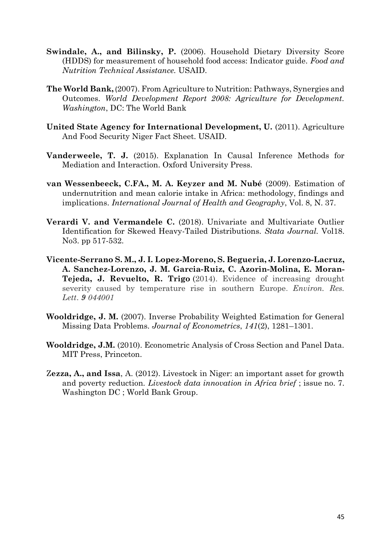- **Swindale, A., and Bilinsky, P.** (2006). Household Dietary Diversity Score (HDDS) for measurement of household food access: Indicator guide. *Food and Nutrition Technical Assistance.* USAID.
- **The World Bank,** (2007). From Agriculture to Nutrition: Pathways, Synergies and Outcomes. *World Development Report 2008: Agriculture for Development. Washington*, DC: The World Bank
- **United State Agency for International Development, U.** (2011). Agriculture And Food Security Niger Fact Sheet. USAID.
- **Vanderweele, T. J.** (2015). Explanation In Causal Inference Methods for Mediation and Interaction. Oxford University Press.
- **van Wessenbeeck, C.FA., M. A. Keyzer and M. Nubé** (2009). Estimation of undernutrition and mean calorie intake in Africa: methodology, findings and implications. *International Journal of Health and Geography*, Vol. 8, N. 37.
- **Verardi V. and Vermandele C.** (2018). Univariate and Multivariate Outlier Identification for Skewed Heavy-Tailed Distributions. *Stata Journal.* Vol18. No3. pp 517-532.
- **Vicente-Serrano S. M., J. I. Lopez-Moreno, S. Begueria, J. Lorenzo-Lacruz, A. Sanchez-Lorenzo, J. M. Garcia-Ruiz, C. Azorin-Molina, E. Moran-Tejeda, J. Revuelto, R. Trigo** (2014). Evidence of increasing drought severity caused by temperature rise in southern Europe. *Environ. Res. Lett*. *9 044001*
- **Wooldridge, J. M.** (2007). Inverse Probability Weighted Estimation for General Missing Data Problems. *Journal of Econometrics*, *141*(2), 1281–1301.
- **Wooldridge, J.M.** (2010). Econometric Analysis of Cross Section and Panel Data. MIT Press, Princeton.
- Z**ezza, A., and Issa**, A. (2012). Livestock in Niger: an important asset for growth and poverty reduction. *Livestock data innovation in Africa brief* ; issue no. 7. Washington DC ; World Bank Group.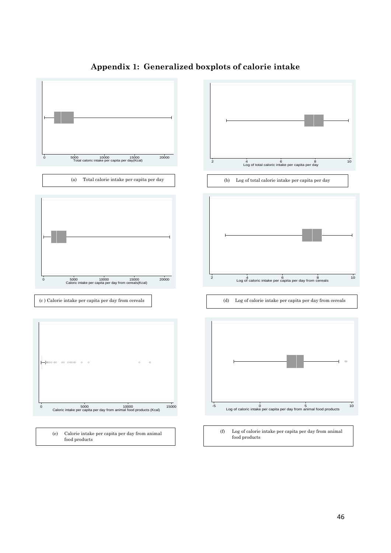

### **Appendix 1: Generalized boxplots of calorie intake**